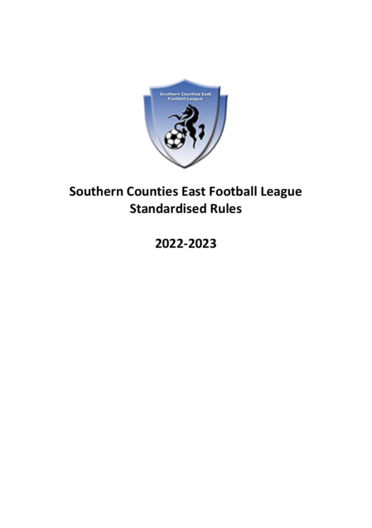

# **Southern Counties East Football League Standardised Rules**

## **2022-2023**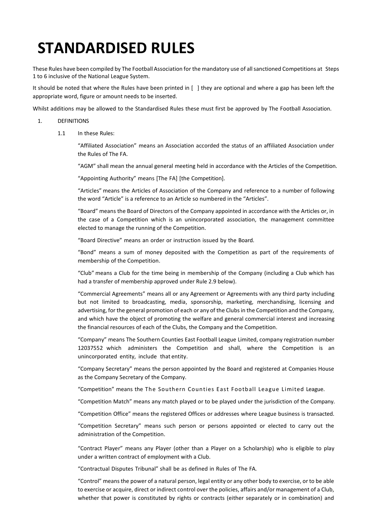# **STANDARDISED RULES**

These Rules have been compiled by The Football Association for the mandatory use of all sanctioned Competitions at Steps 1 to 6 inclusive of the National League System.

It should be noted that where the Rules have been printed in [ ] they are optional and where a gap has been left the appropriate word, figure or amount needs to be inserted.

Whilst additions may be allowed to the Standardised Rules these must first be approved by The Football Association.

#### 1. DEFINITIONS

1.1 In these Rules:

"Affiliated Association" means an Association accorded the status of an affiliated Association under the Rules of The FA.

"AGM" shall mean the annual general meeting held in accordance with the Articles of the Competition.

"Appointing Authority" means [The FA] [the Competition].

"Articles" means the Articles of Association of the Company and reference to a number of following the word "Article" is a reference to an Article so numbered in the "Articles".

"Board" means the Board of Directors of the Company appointed in accordance with the Articles or, in the case of a Competition which is an unincorporated association, the management committee elected to manage the running of the Competition.

"Board Directive" means an order or instruction issued by the Board.

"Bond" means a sum of money deposited with the Competition as part of the requirements of membership of the Competition.

"Club" means a Club for the time being in membership of the Company (including a Club which has had a transfer of membership approved under Rule 2.9 below).

"Commercial Agreements" means all or any Agreement or Agreements with any third party including but not limited to broadcasting, media, sponsorship, marketing, merchandising, licensing and advertising, for the general promotion of each or any of the Clubs in the Competition and the Company, and which have the object of promoting the welfare and general commercial interest and increasing the financial resources of each of the Clubs, the Company and the Competition.

"Company" means The Southern Counties East Football League Limited, company registration number 12037552 which administers the Competition and shall, where the Competition is an unincorporated entity, include that entity.

"Company Secretary" means the person appointed by the Board and registered at Companies House as the Company Secretary of the Company.

"Competition" means the The Southern Counties East Football League Limited League.

"Competition Match" means any match played or to be played under the jurisdiction of the Company.

"Competition Office" means the registered Offices or addresses where League business is transacted.

"Competition Secretary" means such person or persons appointed or elected to carry out the administration of the Competition.

"Contract Player" means any Player (other than a Player on a Scholarship) who is eligible to play under a written contract of employment with a Club.

"Contractual Disputes Tribunal" shall be as defined in Rules of The FA.

"Control" means the power of a natural person, legal entity or any other body to exercise, or to be able to exercise or acquire, direct or indirect control over the policies, affairs and/or management of a Club, whether that power is constituted by rights or contracts (either separately or in combination) and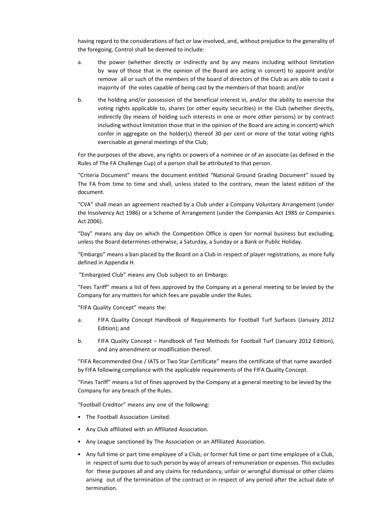having regard to the considerations of fact or law involved, and, without prejudice to the generality of the foregoing, Control shall be deemed to include:

- a. the power (whether directly or indirectly and by any means including without limitation by way of those that in the opinion of the Board are acting in concert) to appoint and/or remove all or such of the members of the board of directors of the Club as are able to cast a majority of the votes capable of being cast by the members of that board; and/or
- b. the holding and/or possession of the beneficial interest in, and/or the ability to exercise the voting rights applicable to, shares (or other equity securities) in the Club (whether directly, indirectly (by means of holding such interests in one or more other persons) or by contract including without limitation those that in the opinion of the Board are acting in concert) which confer in aggregate on the holder(s) thereof 30 per cent or more of the total voting rights exercisable at general meetings of the Club;

For the purposes of the above, any rights or powers of a nominee or of an associate (as defined in the Rules of The FA Challenge Cup) of a person shall be attributed to that person.

"Criteria Document" means the document entitled "National Ground Grading Document" issued by The FA from time to time and shall, unless stated to the contrary, mean the latest edition of the document.

"CVA" shall mean an agreement reached by a Club under a Company Voluntary Arrangement (under the Insolvency Act 1986) or a Scheme of Arrangement (under the Companies Act 1985 or Companies Act 2006).

"Day" means any day on which the Competition Office is open for normal business but excluding, unless the Board determines otherwise, a Saturday, a Sunday or a Bank or Public Holiday.

"Embargo" means a ban placed by the Board on a Club in respect of player registrations, as more fully defined in Appendix H.

"Embargoed Club" means any Club subject to an Embargo.

"Fees Tariff" means a list of fees approved by the Company at a general meeting to be levied by the Company for any matters for which fees are payable under the Rules.

"FIFA Quality Concept" means the:

- a. FIFA Quality Concept Handbook of Requirements for Football Turf Surfaces (January 2012 Edition); and
- b. FIFA Quality Concept Handbook of Test Methods for Football Turf (January 2012 Edition), and any amendment or modification thereof.

"FIFA Recommended One / IATS or Two Star Certificate" means the certificate of that name awarded by FIFA following compliance with the applicable requirements of the FIFA Quality Concept.

"Fines Tariff" means a list of fines approved by the Company at a general meeting to be levied by the Company for any breach of the Rules.

"Football Creditor" means any one of the following:

- The Football Association Limited.
- Any Club affiliated with an Affiliated Association.
- Any League sanctioned by The Association or an Affiliated Association.
- Any full time or part time employee of a Club, or former full time or part time employee of a Club, in respect of sums due to such person by way of arrears of remuneration or expenses. This excludes for these purposes all and any claims for redundancy, unfair or wrongful dismissal or other claims arising out of the termination of the contract or in respect of any period after the actual date of termination.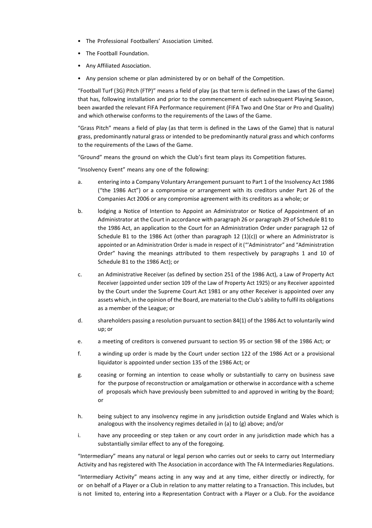- The Professional Footballers' Association Limited.
- The Football Foundation.
- Any Affiliated Association.
- Any pension scheme or plan administered by or on behalf of the Competition.

"Football Turf (3G) Pitch (FTP)" means a field of play (as that term is defined in the Laws of the Game) that has, following installation and prior to the commencement of each subsequent Playing Season, been awarded the relevant FIFA Performance requirement (FIFA Two and One Star or Pro and Quality) and which otherwise conforms to the requirements of the Laws of the Game.

"Grass Pitch" means a field of play (as that term is defined in the Laws of the Game) that is natural grass, predominantly natural grass or intended to be predominantly natural grass and which conforms to the requirements of the Laws of the Game.

"Ground" means the ground on which the Club's first team plays its Competition fixtures.

"Insolvency Event" means any one of the following:

- a. entering into a Company Voluntary Arrangement pursuant to Part 1 of the Insolvency Act 1986 ("the 1986 Act") or a compromise or arrangement with its creditors under Part 26 of the Companies Act 2006 or any compromise agreement with its creditors as a whole; or
- b. lodging a Notice of Intention to Appoint an Administrator or Notice of Appointment of an Administrator at the Court in accordance with paragraph 26 or paragraph 29 of Schedule B1 to the 1986 Act, an application to the Court for an Administration Order under paragraph 12 of Schedule B1 to the 1986 Act (other than paragraph 12 (1)(c)) or where an Administrator is appointed or an Administration Order is made in respect of it ("'Administrator" and "Administration Order" having the meanings attributed to them respectively by paragraphs 1 and 10 of Schedule B1 to the 1986 Act); or
- c. an Administrative Receiver (as defined by section 251 of the 1986 Act), a Law of Property Act Receiver (appointed under section 109 of the Law of Property Act 1925) or any Receiver appointed by the Court under the Supreme Court Act 1981 or any other Receiver is appointed over any assets which, in the opinion of the Board, are material to the Club's ability to fulfil its obligations as a member of the League; or
- d. shareholders passing a resolution pursuant to section 84(1) of the 1986 Act to voluntarily wind up; or
- e. a meeting of creditors is convened pursuant to section 95 or section 98 of the 1986 Act; or
- f. a winding up order is made by the Court under section 122 of the 1986 Act or a provisional liquidator is appointed under section 135 of the 1986 Act; or
- g. ceasing or forming an intention to cease wholly or substantially to carry on business save for the purpose of reconstruction or amalgamation or otherwise in accordance with a scheme of proposals which have previously been submitted to and approved in writing by the Board; or
- h. being subject to any insolvency regime in any jurisdiction outside England and Wales which is analogous with the insolvency regimes detailed in (a) to (g) above; and/or
- i. have any proceeding or step taken or any court order in any jurisdiction made which has a substantially similar effect to any of the foregoing.

"Intermediary" means any natural or legal person who carries out or seeks to carry out Intermediary Activity and has registered with The Association in accordance with The FA Intermediaries Regulations.

"Intermediary Activity" means acting in any way and at any time, either directly or indirectly, for or on behalf of a Player or a Club in relation to any matter relating to a Transaction. This includes, but is not limited to, entering into a Representation Contract with a Player or a Club. For the avoidance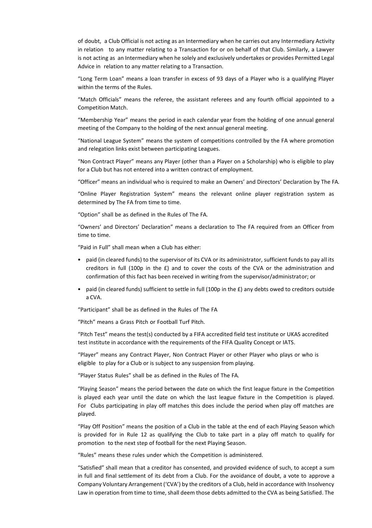of doubt, a Club Official is not acting as an Intermediary when he carries out any Intermediary Activity in relation to any matter relating to a Transaction for or on behalf of that Club. Similarly, a Lawyer is not acting as an Intermediary when he solely and exclusively undertakes or provides Permitted Legal Advice in relation to any matter relating to a Transaction.

"Long Term Loan" means a loan transfer in excess of 93 days of a Player who is a qualifying Player within the terms of the Rules.

"Match Officials" means the referee, the assistant referees and any fourth official appointed to a Competition Match.

"Membership Year" means the period in each calendar year from the holding of one annual general meeting of the Company to the holding of the next annual general meeting.

"National League System" means the system of competitions controlled by the FA where promotion and relegation links exist between participating Leagues.

"Non Contract Player" means any Player (other than a Player on a Scholarship) who is eligible to play for a Club but has not entered into a written contract of employment.

"Officer" means an individual who is required to make an Owners' and Directors' Declaration by The FA.

"Online Player Registration System" means the relevant online player registration system as determined by The FA from time to time.

"Option" shall be as defined in the Rules of The FA.

"Owners' and Directors' Declaration" means a declaration to The FA required from an Officer from time to time.

"Paid in Full" shall mean when a Club has either:

- paid (in cleared funds) to the supervisor of its CVA or its administrator, sufficient funds to pay all its creditors in full (100p in the £) and to cover the costs of the CVA or the administration and confirmation of this fact has been received in writing from the supervisor/administrator; or
- paid (in cleared funds) sufficient to settle in full (100p in the £) any debts owed to creditors outside a CVA.

"Participant" shall be as defined in the Rules of The FA

"Pitch" means a Grass Pitch or Football Turf Pitch.

"Pitch Test" means the test(s) conducted by a FIFA accredited field test institute or UKAS accredited test institute in accordance with the requirements of the FIFA Quality Concept or IATS.

"Player" means any Contract Player, Non Contract Player or other Player who plays or who is eligible to play for a Club or is subject to any suspension from playing.

"Player Status Rules" shall be as defined in the Rules of The FA.

"Playing Season" means the period between the date on which the first league fixture in the Competition is played each year until the date on which the last league fixture in the Competition is played. For Clubs participating in play off matches this does include the period when play off matches are played.

"Play Off Position" means the position of a Club in the table at the end of each Playing Season which is provided for in Rule 12 as qualifying the Club to take part in a play off match to qualify for promotion to the next step of football for the next Playing Season.

"Rules" means these rules under which the Competition is administered.

"Satisfied" shall mean that a creditor has consented, and provided evidence of such, to accept a sum in full and final settlement of its debt from a Club. For the avoidance of doubt, a vote to approve a Company Voluntary Arrangement ('CVA') by the creditors of a Club, held in accordance with Insolvency Law in operation from time to time, shall deem those debts admitted to the CVA as being Satisfied. The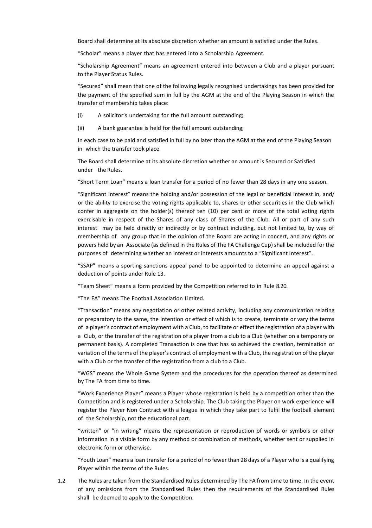Board shall determine at its absolute discretion whether an amount is satisfied under the Rules.

"Scholar" means a player that has entered into a Scholarship Agreement.

"Scholarship Agreement" means an agreement entered into between a Club and a player pursuant to the Player Status Rules.

"Secured" shall mean that one of the following legally recognised undertakings has been provided for the payment of the specified sum in full by the AGM at the end of the Playing Season in which the transfer of membership takes place:

- (i) A solicitor's undertaking for the full amount outstanding;
- (ii) A bank guarantee is held for the full amount outstanding;

In each case to be paid and satisfied in full by no later than the AGM at the end of the Playing Season in which the transfer took place.

The Board shall determine at its absolute discretion whether an amount is Secured or Satisfied under the Rules.

"Short Term Loan" means a loan transfer for a period of no fewer than 28 days in any one season.

"Significant Interest" means the holding and/or possession of the legal or beneficial interest in, and/ or the ability to exercise the voting rights applicable to, shares or other securities in the Club which confer in aggregate on the holder(s) thereof ten (10) per cent or more of the total voting rights exercisable in respect of the Shares of any class of Shares of the Club. All or part of any such interest may be held directly or indirectly or by contract including, but not limited to, by way of membership of any group that in the opinion of the Board are acting in concert, and any rights or powers held by an Associate (as defined in the Rules of The FA Challenge Cup) shall be included for the purposes of determining whether an interest or interests amounts to a "Significant Interest".

"SSAP" means a sporting sanctions appeal panel to be appointed to determine an appeal against a deduction of points under Rule 13.

"Team Sheet" means a form provided by the Competition referred to in Rule 8.20.

"The FA" means The Football Association Limited.

"Transaction" means any negotiation or other related activity, including any communication relating or preparatory to the same, the intention or effect of which is to create, terminate or vary the terms of a player's contract of employment with a Club, to facilitate or effect the registration of a player with a Club, or the transfer of the registration of a player from a club to a Club (whether on a temporary or permanent basis). A completed Transaction is one that has so achieved the creation, termination or variation of the terms of the player's contract of employment with a Club, the registration of the player with a Club or the transfer of the registration from a club to a Club.

"WGS" means the Whole Game System and the procedures for the operation thereof as determined by The FA from time to time.

"Work Experience Player" means a Player whose registration is held by a competition other than the Competition and is registered under a Scholarship. The Club taking the Player on work experience will register the Player Non Contract with a league in which they take part to fulfil the football element of the Scholarship, not the educational part.

"written" or "in writing" means the representation or reproduction of words or symbols or other information in a visible form by any method or combination of methods, whether sent or supplied in electronic form or otherwise.

"Youth Loan" means a loan transfer for a period of no fewer than 28 days of a Player who is a qualifying Player within the terms of the Rules.

1.2 The Rules are taken from the Standardised Rules determined by The FA from time to time. In the event of any omissions from the Standardised Rules then the requirements of the Standardised Rules shall be deemed to apply to the Competition.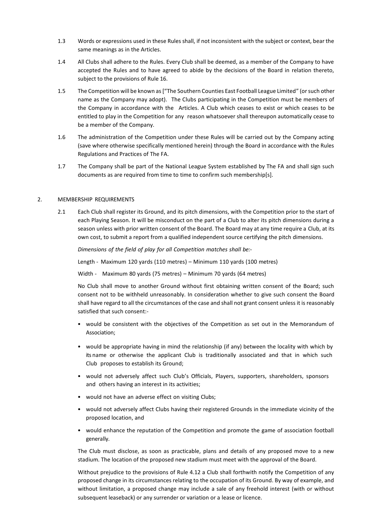- 1.3 Words or expressions used in these Rules shall, if not inconsistent with the subject or context, bear the same meanings as in the Articles.
- 1.4 All Clubs shall adhere to the Rules. Every Club shall be deemed, as a member of the Company to have accepted the Rules and to have agreed to abide by the decisions of the Board in relation thereto, subject to the provisions of Rule 16.
- 1.5 The Competition will be known as ["The Southern Counties East Football League Limited" (or such other name as the Company may adopt). The Clubs participating in the Competition must be members of the Company in accordance with the Articles. A Club which ceases to exist or which ceases to be entitled to play in the Competition for any reason whatsoever shall thereupon automatically cease to be a member of the Company.
- 1.6 The administration of the Competition under these Rules will be carried out by the Company acting (save where otherwise specifically mentioned herein) through the Board in accordance with the Rules Regulations and Practices of The FA.
- 1.7 The Company shall be part of the National League System established by The FA and shall sign such documents as are required from time to time to confirm such membership[s].

#### 2. MEMBERSHIP REQUIREMENTS

2.1 Each Club shall register its Ground, and its pitch dimensions, with the Competition prior to the start of each Playing Season. It will be misconduct on the part of a Club to alter its pitch dimensions during a season unless with prior written consent of the Board. The Board may at any time require a Club, at its own cost, to submit a report from a qualified independent source certifying the pitch dimensions.

*Dimensions of the field of play for all Competition matches shall be:-*

Length - Maximum 120 yards (110 metres) – Minimum 110 yards (100 metres)

Width - Maximum 80 yards (75 metres) – Minimum 70 yards (64 metres)

No Club shall move to another Ground without first obtaining written consent of the Board; such consent not to be withheld unreasonably. In consideration whether to give such consent the Board shall have regard to all the circumstances of the case and shall not grant consent unless it is reasonably satisfied that such consent:-

- would be consistent with the objectives of the Competition as set out in the Memorandum of Association;
- would be appropriate having in mind the relationship (if any) between the locality with which by its name or otherwise the applicant Club is traditionally associated and that in which such Club proposes to establish its Ground;
- would not adversely affect such Club's Officials, Players, supporters, shareholders, sponsors and others having an interest in its activities;
- would not have an adverse effect on visiting Clubs;
- would not adversely affect Clubs having their registered Grounds in the immediate vicinity of the proposed location, and
- would enhance the reputation of the Competition and promote the game of association football generally.

The Club must disclose, as soon as practicable, plans and details of any proposed move to a new stadium. The location of the proposed new stadium must meet with the approval of the Board.

Without prejudice to the provisions of Rule 4.12 a Club shall forthwith notify the Competition of any proposed change in its circumstances relating to the occupation of its Ground. By way of example, and without limitation, a proposed change may include a sale of any freehold interest (with or without subsequent leaseback) or any surrender or variation or a lease or licence.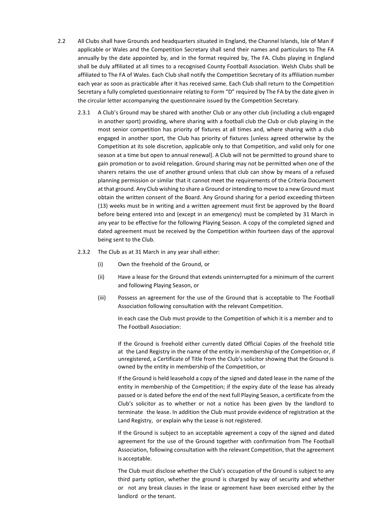- 2.2 All Clubs shall have Grounds and headquarters situated in England, the Channel Islands, Isle of Man if applicable or Wales and the Competition Secretary shall send their names and particulars to The FA annually by the date appointed by, and in the format required by, The FA. Clubs playing in England shall be duly affiliated at all times to a recognised County Football Association. Welsh Clubs shall be affiliated to The FA of Wales. Each Club shall notify the Competition Secretary of its affiliation number each year as soon as practicable after it has received same. Each Club shall return to the Competition Secretary a fully completed questionnaire relating to Form "D" required by The FA by the date given in the circular letter accompanying the questionnaire issued by the Competition Secretary.
	- 2.3.1 A Club's Ground may be shared with another Club or any other club (including a club engaged in another sport) providing, where sharing with a football club the Club or club playing in the most senior competition has priority of fixtures at all times and, where sharing with a club engaged in another sport, the Club has priority of fixtures [unless agreed otherwise by the Competition at its sole discretion, applicable only to that Competition, and valid only for one season at a time but open to annual renewal]. A Club will not be permitted to ground share to gain promotion or to avoid relegation. Ground sharing may not be permitted when one of the sharers retains the use of another ground unless that club can show by means of a refused planning permission or similar that it cannot meet the requirements of the Criteria Document at that ground. Any Club wishing to share a Ground or intending to move to a new Ground must obtain the written consent of the Board. Any Ground sharing for a period exceeding thirteen (13) weeks must be in writing and a written agreement must first be approved by the Board before being entered into and (except in an emergency) must be completed by 31 March in any year to be effective for the following Playing Season. A copy of the completed signed and dated agreement must be received by the Competition within fourteen days of the approval being sent to the Club.
	- 2.3.2 The Club as at 31 March in any year shall either:
		- (i) Own the freehold of the Ground, or
		- (ii) Have a lease for the Ground that extends uninterrupted for a minimum of the current and following Playing Season, or
		- (iii) Possess an agreement for the use of the Ground that is acceptable to The Football Association following consultation with the relevant Competition.

In each case the Club must provide to the Competition of which it is a member and to The Football Association:

If the Ground is freehold either currently dated Official Copies of the freehold title at the Land Registry in the name of the entity in membership of the Competition or, if unregistered, a Certificate of Title from the Club's solicitor showing that the Ground is owned by the entity in membership of the Competition, or

If the Ground is held leasehold a copy of the signed and dated lease in the name of the entity in membership of the Competition; if the expiry date of the lease has already passed or is dated before the end of the next full Playing Season, a certificate from the Club's solicitor as to whether or not a notice has been given by the landlord to terminate the lease. In addition the Club must provide evidence of registration at the Land Registry, or explain why the Lease is not registered.

If the Ground is subject to an acceptable agreement a copy of the signed and dated agreement for the use of the Ground together with confirmation from The Football Association, following consultation with the relevant Competition, that the agreement is acceptable.

The Club must disclose whether the Club's occupation of the Ground is subject to any third party option, whether the ground is charged by way of security and whether or not any break clauses in the lease or agreement have been exercised either by the landlord or the tenant.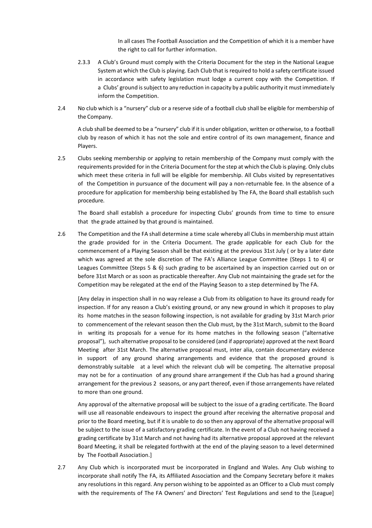In all cases The Football Association and the Competition of which it is a member have the right to call for further information.

- 2.3.3 A Club's Ground must comply with the Criteria Document for the step in the National League System at which the Club is playing. Each Club that is required to hold a safety certificate issued in accordance with safety legislation must lodge a current copy with the Competition. If a Clubs' ground is subject to any reduction in capacity by a public authority it must immediately inform the Competition.
- 2.4 No club which is a "nursery" club or a reserve side of a football club shall be eligible for membership of the Company.

A club shall be deemed to be a "nursery" club if it is under obligation, written or otherwise, to a football club by reason of which it has not the sole and entire control of its own management, finance and Players.

2.5 Clubs seeking membership or applying to retain membership of the Company must comply with the requirements provided for in the Criteria Document for the step at which the Club is playing. Only clubs which meet these criteria in full will be eligible for membership. All Clubs visited by representatives of the Competition in pursuance of the document will pay a non-returnable fee. In the absence of a procedure for application for membership being established by The FA, the Board shall establish such procedure.

The Board shall establish a procedure for inspecting Clubs' grounds from time to time to ensure that the grade attained by that ground is maintained.

2.6 The Competition and the FA shall determine a time scale whereby all Clubs in membership must attain the grade provided for in the Criteria Document. The grade applicable for each Club for the commencement of a Playing Season shall be that existing at the previous 31st July ( or by a later date which was agreed at the sole discretion of The FA's Alliance League Committee (Steps 1 to 4) or Leagues Committee (Steps 5 & 6) such grading to be ascertained by an inspection carried out on or before 31st March or as soon as practicable thereafter. Any Club not maintaining the grade set for the Competition may be relegated at the end of the Playing Season to a step determined by The FA.

[Any delay in inspection shall in no way release a Club from its obligation to have its ground ready for inspection. If for any reason a Club's existing ground, or any new ground in which it proposes to play its home matches in the season following inspection, is not available for grading by 31st March prior to commencement of the relevant season then the Club must, by the 31st March, submit to the Board in writing its proposals for a venue for its home matches in the following season ("alternative proposal"), such alternative proposal to be considered (and if appropriate) approved at the next Board Meeting after 31st March. The alternative proposal must, inter alia, contain documentary evidence in support of any ground sharing arrangements and evidence that the proposed ground is demonstrably suitable at a level which the relevant club will be competing. The alternative proposal may not be for a continuation of any ground share arrangement if the Club has had a ground sharing arrangement for the previous 2 seasons, or any part thereof, even if those arrangements have related to more than one ground.

Any approval of the alternative proposal will be subject to the issue of a grading certificate. The Board will use all reasonable endeavours to inspect the ground after receiving the alternative proposal and prior to the Board meeting, but if it is unable to do so then any approval of the alternative proposal will be subject to the issue of a satisfactory grading certificate. In the event of a Club not having received a grading certificate by 31st March and not having had its alternative proposal approved at the relevant Board Meeting, it shall be relegated forthwith at the end of the playing season to a level determined by The Football Association.]

2.7 Any Club which is incorporated must be incorporated in England and Wales. Any Club wishing to incorporate shall notify The FA, its Affiliated Association and the Company Secretary before it makes any resolutions in this regard. Any person wishing to be appointed as an Officer to a Club must comply with the requirements of The FA Owners' and Directors' Test Regulations and send to the [League]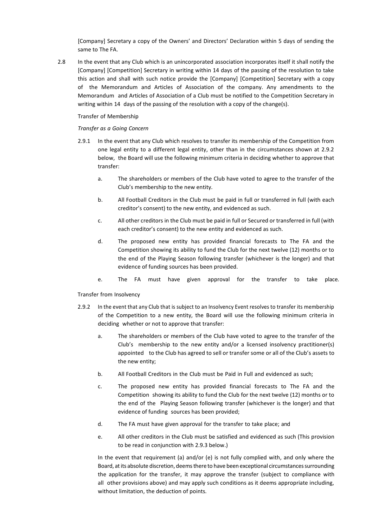[Company] Secretary a copy of the Owners' and Directors' Declaration within 5 days of sending the same to The FA.

2.8 In the event that any Club which is an unincorporated association incorporates itself it shall notify the [Company] [Competition] Secretary in writing within 14 days of the passing of the resolution to take this action and shall with such notice provide the [Company] [Competition] Secretary with a copy of the Memorandum and Articles of Association of the company. Any amendments to the Memorandum and Articles of Association of a Club must be notified to the Competition Secretary in writing within 14 days of the passing of the resolution with a copy of the change(s).

Transfer of Membership

#### *Transfer as a Going Concern*

- 2.9.1 In the event that any Club which resolves to transfer its membership of the Competition from one legal entity to a different legal entity, other than in the circumstances shown at 2.9.2 below, the Board will use the following minimum criteria in deciding whether to approve that transfer:
	- a. The shareholders or members of the Club have voted to agree to the transfer of the Club's membership to the new entity.
	- b. All Football Creditors in the Club must be paid in full or transferred in full (with each creditor's consent) to the new entity, and evidenced as such.
	- c. All other creditors in the Club must be paid in full or Secured or transferred in full (with each creditor's consent) to the new entity and evidenced as such.
	- d. The proposed new entity has provided financial forecasts to The FA and the Competition showing its ability to fund the Club for the next twelve (12) months or to the end of the Playing Season following transfer (whichever is the longer) and that evidence of funding sources has been provided.
	- e. The FA must have given approval for the transfer to take place.

Transfer from Insolvency

- 2.9.2 In the event that any Club that is subject to an Insolvency Event resolves to transfer its membership of the Competition to a new entity, the Board will use the following minimum criteria in deciding whether or not to approve that transfer:
	- a. The shareholders or members of the Club have voted to agree to the transfer of the Club's membership to the new entity and/or a licensed insolvency practitioner(s) appointed to the Club has agreed to sell or transfer some or all of the Club's assets to the new entity;
	- b. All Football Creditors in the Club must be Paid in Full and evidenced as such;
	- c. The proposed new entity has provided financial forecasts to The FA and the Competition showing its ability to fund the Club for the next twelve (12) months or to the end of the Playing Season following transfer (whichever is the longer) and that evidence of funding sources has been provided;
	- d. The FA must have given approval for the transfer to take place; and
	- e. All other creditors in the Club must be satisfied and evidenced as such (This provision to be read in conjunction with 2.9.3 below.)

In the event that requirement (a) and/or (e) is not fully complied with, and only where the Board, at its absolute discretion, deems there to have been exceptional circumstances surrounding the application for the transfer, it may approve the transfer (subject to compliance with all other provisions above) and may apply such conditions as it deems appropriate including, without limitation, the deduction of points.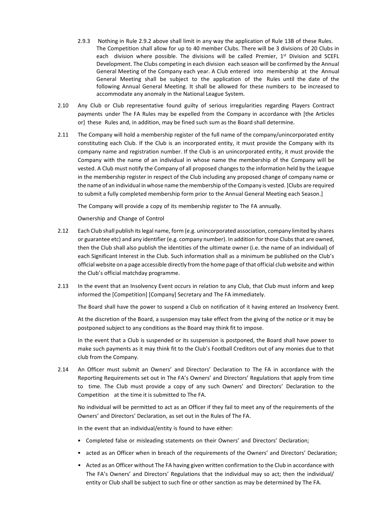- 2.9.3 Nothing in Rule 2.9.2 above shall limit in any way the application of Rule 13B of these Rules. The Competition shall allow for up to 40 member Clubs. There will be 3 divisions of 20 Clubs in each division where possible. The divisions will be called Premier, 1st Division and SCEFL Development. The Clubs competing in each division each season will be confirmed by the Annual General Meeting of the Company each year. A Club entered into membership at the Annual General Meeting shall be subject to the application of the Rules until the date of the following Annual General Meeting. It shall be allowed for these numbers to be increased to accommodate any anomaly in the National League System.
- 2.10 Any Club or Club representative found guilty of serious irregularities regarding Players Contract payments under The FA Rules may be expelled from the Company in accordance with [the Articles or] these Rules and, in addition, may be fined such sum as the Board shall determine.
- 2.11 The Company will hold a membership register of the full name of the company/unincorporated entity constituting each Club. If the Club is an incorporated entity, it must provide the Company with its company name and registration number. If the Club is an unincorporated entity, it must provide the Company with the name of an individual in whose name the membership of the Company will be vested. A Club must notify the Company of all proposed changes to the information held by the League in the membership register in respect of the Club including any proposed change of company name or the name of an individual in whose name the membership of the Company is vested. [Clubs are required to submit a fully completed membership form prior to the Annual General Meeting each Season.]

The Company will provide a copy of its membership register to The FA annually.

Ownership and Change of Control

- 2.12 Each Club shall publish its legal name, form (e.g. unincorporated association, company limited by shares or guarantee etc) and any identifier (e.g. company number). In addition for those Clubs that are owned, then the Club shall also publish the identities of the ultimate owner (i.e. the name of an individual) of each Significant Interest in the Club. Such information shall as a minimum be published on the Club's official website on a page accessible directly from the home page of that official club website and within the Club's official matchday programme.
- 2.13 In the event that an Insolvency Event occurs in relation to any Club, that Club must inform and keep informed the [Competition] [Company] Secretary and The FA immediately.

The Board shall have the power to suspend a Club on notification of it having entered an Insolvency Event.

At the discretion of the Board, a suspension may take effect from the giving of the notice or it may be postponed subject to any conditions as the Board may think fit to impose.

In the event that a Club is suspended or its suspension is postponed, the Board shall have power to make such payments as it may think fit to the Club's Football Creditors out of any monies due to that club from the Company.

2.14 An Officer must submit an Owners' and Directors' Declaration to The FA in accordance with the Reporting Requirements set out in The FA's Owners' and Directors' Regulations that apply from time to time. The Club must provide a copy of any such Owners' and Directors' Declaration to the Competition at the time it is submitted to The FA.

No individual will be permitted to act as an Officer if they fail to meet any of the requirements of the Owners' and Directors' Declaration, as set out in the Rules of The FA.

In the event that an individual/entity is found to have either:

- Completed false or misleading statements on their Owners' and Directors' Declaration;
- acted as an Officer when in breach of the requirements of the Owners' and Directors' Declaration;
- Acted as an Officer without The FA having given written confirmation to the Club in accordance with The FA's Owners' and Directors' Regulations that the individual may so act; then the individual/ entity or Club shall be subject to such fine or other sanction as may be determined by The FA.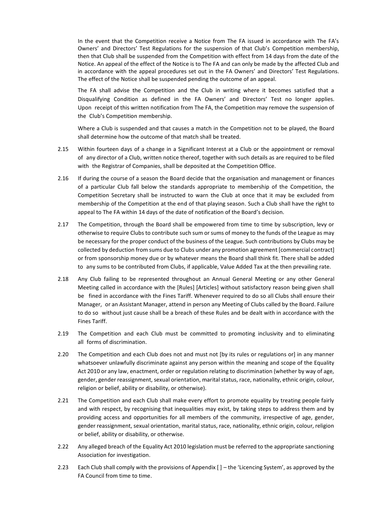In the event that the Competition receive a Notice from The FA issued in accordance with The FA's Owners' and Directors' Test Regulations for the suspension of that Club's Competition membership, then that Club shall be suspended from the Competition with effect from 14 days from the date of the Notice. An appeal of the effect of the Notice is to The FA and can only be made by the affected Club and in accordance with the appeal procedures set out in the FA Owners' and Directors' Test Regulations. The effect of the Notice shall be suspended pending the outcome of an appeal.

The FA shall advise the Competition and the Club in writing where it becomes satisfied that a Disqualifying Condition as defined in the FA Owners' and Directors' Test no longer applies. Upon receipt of this written notification from The FA, the Competition may remove the suspension of the Club's Competition membership.

Where a Club is suspended and that causes a match in the Competition not to be played, the Board shall determine how the outcome of that match shall be treated.

- 2.15 Within fourteen days of a change in a Significant Interest at a Club or the appointment or removal of any director of a Club, written notice thereof, together with such details as are required to be filed with the Registrar of Companies, shall be deposited at the Competition Office.
- 2.16 If during the course of a season the Board decide that the organisation and management or finances of a particular Club fall below the standards appropriate to membership of the Competition, the Competition Secretary shall be instructed to warn the Club at once that it may be excluded from membership of the Competition at the end of that playing season. Such a Club shall have the right to appeal to The FA within 14 days of the date of notification of the Board's decision.
- 2.17 The Competition, through the Board shall be empowered from time to time by subscription, levy or otherwise to require Clubs to contribute such sum or sums of money to the funds of the League as may be necessary for the proper conduct of the business of the League. Such contributions by Clubs may be collected by deduction from sums due to Clubs under any promotion agreement [commercial contract] or from sponsorship money due or by whatever means the Board shall think fit. There shall be added to any sums to be contributed from Clubs, if applicable, Value Added Tax at the then prevailing rate.
- 2.18 Any Club failing to be represented throughout an Annual General Meeting or any other General Meeting called in accordance with the [Rules] [Articles] without satisfactory reason being given shall be fined in accordance with the Fines Tariff. Whenever required to do so all Clubs shall ensure their Manager, or an Assistant Manager, attend in person any Meeting of Clubs called by the Board. Failure to do so without just cause shall be a breach of these Rules and be dealt with in accordance with the Fines Tariff.
- 2.19 The Competition and each Club must be committed to promoting inclusivity and to eliminating all forms of discrimination.
- 2.20 The Competition and each Club does not and must not [by its rules or regulations or] in any manner whatsoever unlawfully discriminate against any person within the meaning and scope of the Equality Act 2010 or any law, enactment, order or regulation relating to discrimination (whether by way of age, gender, gender reassignment, sexual orientation, marital status, race, nationality, ethnic origin, colour, religion or belief, ability or disability, or otherwise).
- 2.21 The Competition and each Club shall make every effort to promote equality by treating people fairly and with respect, by recognising that inequalities may exist, by taking steps to address them and by providing access and opportunities for all members of the community, irrespective of age, gender, gender reassignment, sexual orientation, marital status, race, nationality, ethnic origin, colour, religion or belief, ability or disability, or otherwise.
- 2.22 Any alleged breach of the Equality Act 2010 legislation must be referred to the appropriate sanctioning Association for investigation.
- 2.23 Each Club shall comply with the provisions of Appendix [ ] the 'Licencing System', as approved by the FA Council from time to time.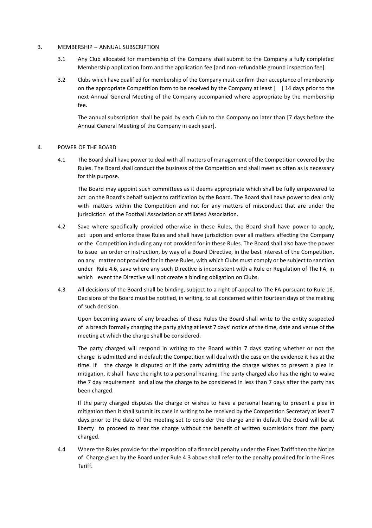#### 3. MEMBERSHIP – ANNUAL SUBSCRIPTION

- 3.1 Any Club allocated for membership of the Company shall submit to the Company a fully completed Membership application form and the application fee [and non-refundable ground inspection fee].
- 3.2 Clubs which have qualified for membership of the Company must confirm their acceptance of membership on the appropriate Competition form to be received by the Company at least  $\lceil 14 \rceil$  days prior to the next Annual General Meeting of the Company accompanied where appropriate by the membership fee.

The annual subscription shall be paid by each Club to the Company no later than [7 days before the Annual General Meeting of the Company in each year].

#### 4. POWER OF THE BOARD

4.1 The Board shall have power to deal with all matters of management of the Competition covered by the Rules. The Board shall conduct the business of the Competition and shall meet as often as is necessary for this purpose.

The Board may appoint such committees as it deems appropriate which shall be fully empowered to act on the Board's behalf subject to ratification by the Board. The Board shall have power to deal only with matters within the Competition and not for any matters of misconduct that are under the jurisdiction of the Football Association or affiliated Association.

- 4.2 Save where specifically provided otherwise in these Rules, the Board shall have power to apply, act upon and enforce these Rules and shall have jurisdiction over all matters affecting the Company or the Competition including any not provided for in these Rules. The Board shall also have the power to issue an order or instruction, by way of a Board Directive, in the best interest of the Competition, on any matter not provided for in these Rules, with which Clubs must comply or be subject to sanction under Rule 4.6, save where any such Directive is inconsistent with a Rule or Regulation of The FA, in which event the Directive will not create a binding obligation on Clubs.
- 4.3 All decisions of the Board shall be binding, subject to a right of appeal to The FA pursuant to Rule 16. Decisions of the Board must be notified, in writing, to all concerned within fourteen days of the making of such decision.

Upon becoming aware of any breaches of these Rules the Board shall write to the entity suspected of a breach formally charging the party giving at least 7 days' notice of the time, date and venue of the meeting at which the charge shall be considered.

The party charged will respond in writing to the Board within 7 days stating whether or not the charge is admitted and in default the Competition will deal with the case on the evidence it has at the time. If the charge is disputed or if the party admitting the charge wishes to present a plea in mitigation, it shall have the right to a personal hearing. The party charged also has the right to waive the 7 day requirement and allow the charge to be considered in less than 7 days after the party has been charged.

If the party charged disputes the charge or wishes to have a personal hearing to present a plea in mitigation then it shall submit its case in writing to be received by the Competition Secretary at least 7 days prior to the date of the meeting set to consider the charge and in default the Board will be at liberty to proceed to hear the charge without the benefit of written submissions from the party charged.

4.4 Where the Rules provide for the imposition of a financial penalty under the Fines Tariff then the Notice of Charge given by the Board under Rule 4.3 above shall refer to the penalty provided for in the Fines Tariff.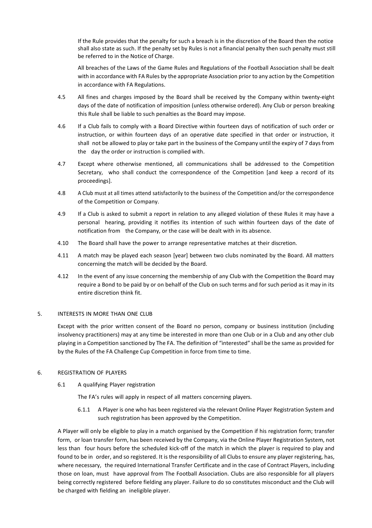If the Rule provides that the penalty for such a breach is in the discretion of the Board then the notice shall also state as such. If the penalty set by Rules is not a financial penalty then such penalty must still be referred to in the Notice of Charge.

All breaches of the Laws of the Game Rules and Regulations of the Football Association shall be dealt with in accordance with FA Rules by the appropriate Association prior to any action by the Competition in accordance with FA Regulations.

- 4.5 All fines and charges imposed by the Board shall be received by the Company within twenty-eight days of the date of notification of imposition (unless otherwise ordered). Any Club or person breaking this Rule shall be liable to such penalties as the Board may impose.
- 4.6 If a Club fails to comply with a Board Directive within fourteen days of notification of such order or instruction, or within fourteen days of an operative date specified in that order or instruction, it shall not be allowed to play or take part in the business of the Company until the expiry of 7 days from the day the order or instruction is complied with.
- 4.7 Except where otherwise mentioned, all communications shall be addressed to the Competition Secretary, who shall conduct the correspondence of the Competition [and keep a record of its proceedings].
- 4.8 A Club must at all times attend satisfactorily to the business of the Competition and/or the correspondence of the Competition or Company.
- 4.9 If a Club is asked to submit a report in relation to any alleged violation of these Rules it may have a personal hearing, providing it notifies its intention of such within fourteen days of the date of notification from the Company, or the case will be dealt with in its absence.
- 4.10 The Board shall have the power to arrange representative matches at their discretion.
- 4.11 A match may be played each season [year] between two clubs nominated by the Board. All matters concerning the match will be decided by the Board.
- 4.12 In the event of any issue concerning the membership of any Club with the Competition the Board may require a Bond to be paid by or on behalf of the Club on such terms and for such period as it may in its entire discretion think fit.

#### 5. INTERESTS IN MORE THAN ONE CLUB

Except with the prior written consent of the Board no person, company or business institution (including insolvency practitioners) may at any time be interested in more than one Club or in a Club and any other club playing in a Competition sanctioned by The FA. The definition of "interested" shall be the same as provided for by the Rules of the FA Challenge Cup Competition in force from time to time.

#### 6. REGISTRATION OF PLAYERS

6.1 A qualifying Player registration

The FA's rules will apply in respect of all matters concerning players.

6.1.1 A Player is one who has been registered via the relevant Online Player Registration System and such registration has been approved by the Competition.

A Player will only be eligible to play in a match organised by the Competition if his registration form; transfer form, or loan transfer form, has been received by the Company, via the Online Player Registration System, not less than four hours before the scheduled kick-off of the match in which the player is required to play and found to be in order, and so registered. It is the responsibility of all Clubs to ensure any player registering, has, where necessary, the required International Transfer Certificate and in the case of Contract Players, including those on loan, must have approval from The Football Association. Clubs are also responsible for all players being correctly registered before fielding any player. Failure to do so constitutes misconduct and the Club will be charged with fielding an ineligible player.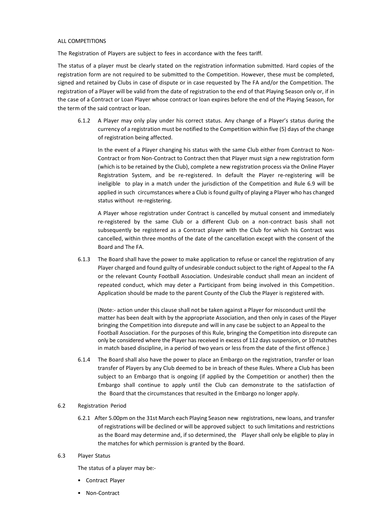#### ALL COMPETITIONS

The Registration of Players are subject to fees in accordance with the fees tariff.

The status of a player must be clearly stated on the registration information submitted. Hard copies of the registration form are not required to be submitted to the Competition. However, these must be completed, signed and retained by Clubs in case of dispute or in case requested by The FA and/or the Competition. The registration of a Player will be valid from the date of registration to the end of that Playing Season only or, if in the case of a Contract or Loan Player whose contract or loan expires before the end of the Playing Season, for the term of the said contract or loan.

6.1.2 A Player may only play under his correct status. Any change of a Player's status during the currency of a registration must be notified to the Competition within five (5) days of the change of registration being affected.

In the event of a Player changing his status with the same Club either from Contract to Non-Contract or from Non-Contract to Contract then that Player must sign a new registration form (which is to be retained by the Club), complete a new registration process via the Online Player Registration System, and be re-registered. In default the Player re-registering will be ineligible to play in a match under the jurisdiction of the Competition and Rule 6.9 will be applied in such circumstances where a Club is found guilty of playing a Player who has changed status without re-registering.

A Player whose registration under Contract is cancelled by mutual consent and immediately re-registered by the same Club or a different Club on a non-contract basis shall not subsequently be registered as a Contract player with the Club for which his Contract was cancelled, within three months of the date of the cancellation except with the consent of the Board and The FA.

6.1.3 The Board shall have the power to make application to refuse or cancel the registration of any Player charged and found guilty of undesirable conduct subject to the right of Appeal to the FA or the relevant County Football Association. Undesirable conduct shall mean an incident of repeated conduct, which may deter a Participant from being involved in this Competition. Application should be made to the parent County of the Club the Player is registered with.

(Note:- action under this clause shall not be taken against a Player for misconduct until the matter has been dealt with by the appropriate Association, and then only in cases of the Player bringing the Competition into disrepute and will in any case be subject to an Appeal to the Football Association. For the purposes of this Rule, bringing the Competition into disrepute can only be considered where the Player has received in excess of 112 days suspension, or 10 matches in match based discipline, in a period of two years or less from the date of the first offence.)

6.1.4 The Board shall also have the power to place an Embargo on the registration, transfer or loan transfer of Players by any Club deemed to be in breach of these Rules. Where a Club has been subject to an Embargo that is ongoing (if applied by the Competition or another) then the Embargo shall continue to apply until the Club can demonstrate to the satisfaction of the Board that the circumstances that resulted in the Embargo no longer apply.

#### 6.2 Registration Period

6.2.1 After 5.00pm on the 31st March each Playing Season new registrations, new loans, and transfer of registrations will be declined or will be approved subject to such limitations and restrictions as the Board may determine and, if so determined, the Player shall only be eligible to play in the matches for which permission is granted by the Board.

#### 6.3 Player Status

The status of a player may be:-

- Contract Player
- Non-Contract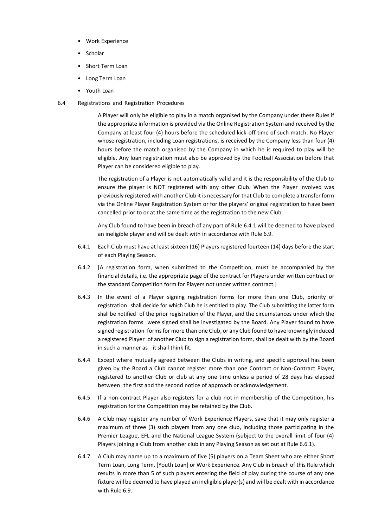- Work Experience
- Scholar
- Short Term Loan
- Long Term Loan
- Youth Loan
- 6.4 Registrations and Registration Procedures

A Player will only be eligible to play in a match organised by the Company under these Rules if the appropriate information is provided via the Online Registration System and received by the Company at least four (4) hours before the scheduled kick-off time of such match. No Player whose registration, including Loan registrations, is received by the Company less than four (4) hours before the match organised by the Company in which he is required to play will be eligible. Any loan registration must also be approved by the Football Association before that Player can be considered eligible to play.

The registration of a Player is not automatically valid and it is the responsibility of the Club to ensure the player is NOT registered with any other Club. When the Player involved was previously registered with another Club it is necessary for that Club to complete a transfer form via the Online Player Registration System or for the players' original registration to have been cancelled prior to or at the same time as the registration to the new Club.

Any Club found to have been in breach of any part of Rule 6.4.1 will be deemed to have played an ineligible player and will be dealt with in accordance with Rule 6.9.

- 6.4.1 Each Club must have at least sixteen (16) Players registered fourteen (14) days before the start of each Playing Season.
- 6.4.2 [A registration form, when submitted to the Competition, must be accompanied by the financial details, i.e. the appropriate page of the contract for Players under written contract or the standard Competition form for Players not under written contract.]
- 6.4.3 In the event of a Player signing registration forms for more than one Club, priority of registration shall decide for which Club he is entitled to play. The Club submitting the latter form shall be notified of the prior registration of the Player, and the circumstances under which the registration forms were signed shall be investigated by the Board. Any Player found to have signed registration forms for more than one Club, or any Club found to have knowingly induced a registered Player of another Club to sign a registration form, shall be dealt with by the Board in such a manner as it shall think fit.
- 6.4.4 Except where mutually agreed between the Clubs in writing, and specific approval has been given by the Board a Club cannot register more than one Contract or Non-Contract Player, registered to another Club or club at any one time unless a period of 28 days has elapsed between the first and the second notice of approach or acknowledgement.
- 6.4.5 If a non-contract Player also registers for a club not in membership of the Competition, his registration for the Competition may be retained by the Club.
- 6.4.6 A Club may register any number of Work Experience Players, save that it may only register a maximum of three (3) such players from any one club, including those participating in the Premier League, EFL and the National League System (subject to the overall limit of four (4) Players joining a Club from another club in any Playing Season as set out at Rule 6.6.1).
- 6.4.7 A Club may name up to a maximum of five (5) players on a Team Sheet who are either Short Term Loan, Long Term, [Youth Loan] or Work Experience. Any Club in breach of this Rule which results in more than 5 of such players entering the field of play during the course of any one fixture will be deemed to have played an ineligible player(s) and will be dealt with in accordance with Rule 6.9.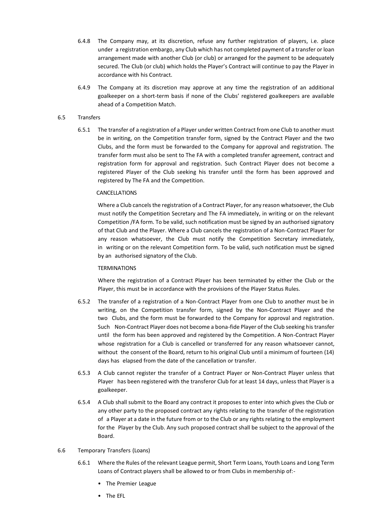- 6.4.8 The Company may, at its discretion, refuse any further registration of players, i.e. place under a registration embargo, any Club which has not completed payment of a transfer or loan arrangement made with another Club (or club) or arranged for the payment to be adequately secured. The Club (or club) which holds the Player's Contract will continue to pay the Player in accordance with his Contract.
- 6.4.9 The Company at its discretion may approve at any time the registration of an additional goalkeeper on a short-term basis if none of the Clubs' registered goalkeepers are available ahead of a Competition Match.

#### 6.5 Transfers

6.5.1 The transfer of a registration of a Player under written Contract from one Club to another must be in writing, on the Competition transfer form, signed by the Contract Player and the two Clubs, and the form must be forwarded to the Company for approval and registration. The transfer form must also be sent to The FA with a completed transfer agreement, contract and registration form for approval and registration. Such Contract Player does not become a registered Player of the Club seeking his transfer until the form has been approved and registered by The FA and the Competition.

#### CANCELLATIONS

Where a Club cancels the registration of a Contract Player, for any reason whatsoever, the Club must notify the Competition Secretary and The FA immediately, in writing or on the relevant Competition /FA form. To be valid, such notification must be signed by an authorised signatory of that Club and the Player. Where a Club cancels the registration of a Non-Contract Player for any reason whatsoever, the Club must notify the Competition Secretary immediately, in writing or on the relevant Competition form. To be valid, such notification must be signed by an authorised signatory of the Club.

#### **TERMINATIONS**

Where the registration of a Contract Player has been terminated by either the Club or the Player, this must be in accordance with the provisions of the Player Status Rules.

- 6.5.2 The transfer of a registration of a Non-Contract Player from one Club to another must be in writing, on the Competition transfer form, signed by the Non-Contract Player and the two Clubs, and the form must be forwarded to the Company for approval and registration. Such Non-Contract Player does not become a bona-fide Player of the Club seeking his transfer until the form has been approved and registered by the Competition. A Non-Contract Player whose registration for a Club is cancelled or transferred for any reason whatsoever cannot, without the consent of the Board, return to his original Club until a minimum of fourteen (14) days has elapsed from the date of the cancellation or transfer.
- 6.5.3 A Club cannot register the transfer of a Contract Player or Non-Contract Player unless that Player has been registered with the transferor Club for at least 14 days, unless that Player is a goalkeeper.
- 6.5.4 A Club shall submit to the Board any contract it proposes to enter into which gives the Club or any other party to the proposed contract any rights relating to the transfer of the registration of a Player at a date in the future from or to the Club or any rights relating to the employment for the Player by the Club. Any such proposed contract shall be subject to the approval of the Board.

#### 6.6 Temporary Transfers (Loans)

- 6.6.1 Where the Rules of the relevant League permit, Short Term Loans, Youth Loans and Long Term Loans of Contract players shall be allowed to or from Clubs in membership of:-
	- The Premier League
	- The EFL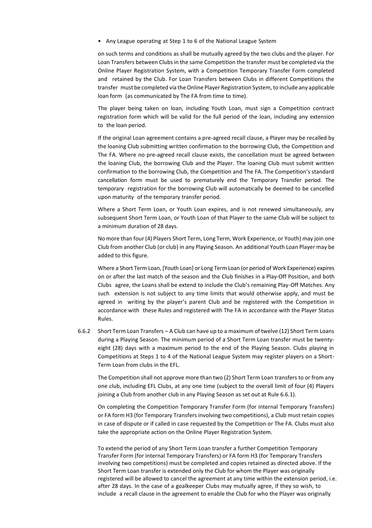• Any League operating at Step 1 to 6 of the National League System

on such terms and conditions as shall be mutually agreed by the two clubs and the player. For Loan Transfers between Clubs in the same Competition the transfer must be completed via the Online Player Registration System, with a Competition Temporary Transfer Form completed and retained by the Club. For Loan Transfers between Clubs in different Competitions the transfer must be completed via theOnline Player Registration System, to include any applicable loan form (as communicated by The FA from time to time).

The player being taken on loan, including Youth Loan, must sign a Competition contract registration form which will be valid for the full period of the loan, including any extension to the loan period.

If the original Loan agreement contains a pre-agreed recall clause, a Player may be recalled by the loaning Club submitting written confirmation to the borrowing Club, the Competition and The FA. Where no pre-agreed recall clause exists, the cancellation must be agreed between the loaning Club, the borrowing Club and the Player. The loaning Club must submit written confirmation to the borrowing Club, the Competition and The FA. The Competition's standard cancellation form must be used to prematurely end the Temporary Transfer period. The temporary registration for the borrowing Club will automatically be deemed to be cancelled upon maturity of the temporary transfer period.

Where a Short Term Loan, or Youth Loan expires, and is not renewed simultaneously, any subsequent Short Term Loan, or Youth Loan of that Player to the same Club will be subject to a minimum duration of 28 days.

No more than four(4) Players Short Term, Long Term, Work Experience, or Youth) may join one Club from another Club (or club) in any Playing Season. An additional Youth Loan Player may be added to this figure.

Where a Short Term Loan, [Youth Loan] or Long Term Loan (or period of Work Experience) expires on or after the last match of the season and the Club finishes in a Play-Off Position, and both Clubs agree, the Loans shall be extend to include the Club's remaining Play-Off Matches. Any such extension is not subject to any time limits that would otherwise apply, and must be agreed in writing by the player's parent Club and be registered with the Competition in accordance with these Rules and registered with The FA in accordance with the Player Status Rules.

6.6.2 Short Term Loan Transfers – A Club can have up to a maximum of twelve (12) Short Term Loans during a Playing Season. The minimum period of a Short Term Loan transfer must be twentyeight (28) days with a maximum period to the end of the Playing Season. Clubs playing in Competitions at Steps 1 to 4 of the National League System may register players on a Short-Term Loan from clubs in the EFL.

The Competition shall not approve more than two (2) Short Term Loan transfers to or from any one club, including EFL Clubs, at any one time (subject to the overall limit of four (4) Players joining a Club from another club in any Playing Season as set out at Rule 6.6.1).

On completing the Competition Temporary Transfer Form (for internal Temporary Transfers) or FA form H3 (for Temporary Transfers involving two competitions), a Club must retain copies in case of dispute or if called in case requested by the Competition or The FA. Clubs must also take the appropriate action on the Online Player Registration System.

To extend the period of any Short Term Loan transfer a further Competition Temporary Transfer Form (for internal Temporary Transfers) or FA form H3 (for Temporary Transfers involving two competitions) must be completed and copies retained as directed above. If the Short Term Loan transfer is extended only the Club for whom the Player was originally registered will be allowed to cancel the agreement at any time within the extension period, i.e. after 28 days. In the case of a goalkeeper Clubs may mutually agree, if they so wish, to include a recall clause in the agreement to enable the Club for who the Player was originally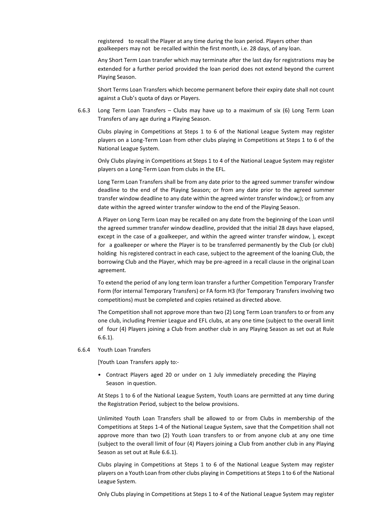registered to recall the Player at any time during the loan period. Players other than goalkeepers may not be recalled within the first month, i.e. 28 days, of any loan.

Any Short Term Loan transfer which may terminate after the last day for registrations may be extended for a further period provided the loan period does not extend beyond the current Playing Season.

Short Terms Loan Transfers which become permanent before their expiry date shall not count against a Club's quota of days or Players.

6.6.3 Long Term Loan Transfers – Clubs may have up to a maximum of six (6) Long Term Loan Transfers of any age during a Playing Season.

Clubs playing in Competitions at Steps 1 to 6 of the National League System may register players on a Long-Term Loan from other clubs playing in Competitions at Steps 1 to 6 of the National League System.

Only Clubs playing in Competitions at Steps 1 to 4 of the National League System may register players on a Long-Term Loan from clubs in the EFL.

Long Term Loan Transfers shall be from any date prior to the agreed summer transfer window deadline to the end of the Playing Season; or from any date prior to the agreed summer transfer window deadline to any date within the agreed winter transfer window;); or from any date within the agreed winter transfer window to the end of the Playing Season.

A Player on Long Term Loan may be recalled on any date from the beginning of the Loan until the agreed summer transfer window deadline, provided that the initial 28 days have elapsed, except in the case of a goalkeeper, and within the agreed winter transfer window, ), except for a goalkeeper or where the Player is to be transferred permanently by the Club (or club) holding his registered contract in each case, subject to the agreement of the loaning Club, the borrowing Club and the Player, which may be pre-agreed in a recall clause in the original Loan agreement.

To extend the period of any long term loan transfer a further Competition Temporary Transfer Form (for internal Temporary Transfers) or FA form H3 (for Temporary Transfers involving two competitions) must be completed and copies retained as directed above.

The Competition shall not approve more than two (2) Long Term Loan transfers to or from any one club, including Premier League and EFL clubs, at any one time (subject to the overall limit of four (4) Players joining a Club from another club in any Playing Season as set out at Rule 6.6.1).

#### 6.6.4 Youth Loan Transfers

[Youth Loan Transfers apply to:-

• Contract Players aged 20 or under on 1 July immediately preceding the Playing Season in question.

At Steps 1 to 6 of the National League System, Youth Loans are permitted at any time during the Registration Period, subject to the below provisions.

Unlimited Youth Loan Transfers shall be allowed to or from Clubs in membership of the Competitions at Steps 1-4 of the National League System, save that the Competition shall not approve more than two (2) Youth Loan transfers to or from anyone club at any one time (subject to the overall limit of four (4) Players joining a Club from another club in any Playing Season as set out at Rule 6.6.1).

Clubs playing in Competitions at Steps 1 to 6 of the National League System may register players on a Youth Loan from other clubs playing in Competitions at Steps 1 to 6 of the National League System.

Only Clubs playing in Competitions at Steps 1 to 4 of the National League System may register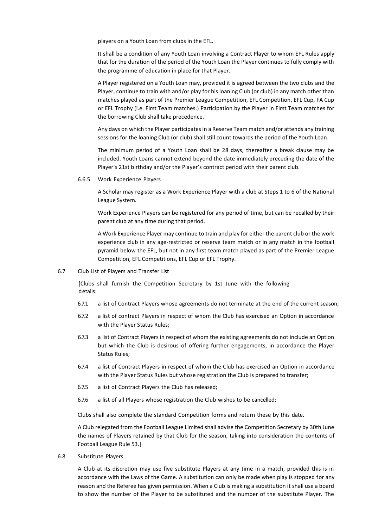players on a Youth Loan from clubs in the EFL.

It shall be a condition of any Youth Loan involving a Contract Player to whom EFL Rules apply that for the duration of the period of the Youth Loan the Player continues to fully comply with the programme of education in place for that Player.

A Player registered on a Youth Loan may, provided it is agreed between the two clubs and the Player, continue to train with and/or play for his loaning Club (or club) in any match other than matches played as part of the Premier League Competition, EFL Competition, EFL Cup, FA Cup or EFL Trophy (i.e. First Team matches.) Participation by the Player in First Team matches for the borrowing Club shall take precedence.

Any days on which the Player participates in a Reserve Team match and/or attends any training sessions for the loaning Club (or club) shall still count towards the period of the Youth Loan.

The minimum period of a Youth Loan shall be 28 days, thereafter a break clause may be included. Youth Loans cannot extend beyond the date immediately preceding the date of the Player's 21st birthday and/or the Player's contract period with their parent club.

6.6.5 Work Experience Players

A Scholar may register as a Work Experience Player with a club at Steps 1 to 6 of the National League System.

Work Experience Players can be registered for any period of time, but can be recalled by their parent club at any time during that period.

A Work Experience Player may continue to train and play for either the parent club or the work experience club in any age-restricted or reserve team match or in any match in the football pyramid below the EFL, but not in any first team match played as part of the Premier League Competition, EFL Competitions, EFL Cup or EFL Trophy.

#### 6.7 Club List of Players and Transfer List

[Clubs shall furnish the Competition Secretary by 1st June with the following details:

- 6.7.1 a list of Contract Players whose agreements do not terminate at the end of the current season;
- 6.7.2 a list of contract Players in respect of whom the Club has exercised an Option in accordance with the Player Status Rules;
- 6.7.3 a list of Contract Players in respect of whom the existing agreements do not include an Option but which the Club is desirous of offering further engagements, in accordance the Player Status Rules;
- 6.7.4 a list of Contract Players in respect of whom the Club has exercised an Option in accordance with the Player Status Rules but whose registration the Club is prepared to transfer;
- 6.7.5 a list of Contract Players the Club has released;
- 6.7.6 a list of all Players whose registration the Club wishes to be cancelled;

Clubs shall also complete the standard Competition forms and return these by this date.

A Club relegated from the Football League Limited shall advise the Competition Secretary by 30th June the names of Players retained by that Club for the season, taking into consideration the contents of Football League Rule 53.]

6.8 Substitute Players

A Club at its discretion may use five substitute Players at any time in a match, provided this is in accordance with the Laws of the Game. A substitution can only be made when play is stopped for any reason and the Referee has given permission. When a Club is making a substitution it shall use a board to show the number of the Player to be substituted and the number of the substitute Player. The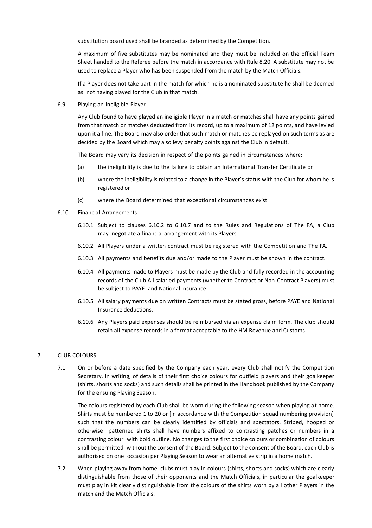substitution board used shall be branded as determined by the Competition.

A maximum of five substitutes may be nominated and they must be included on the official Team Sheet handed to the Referee before the match in accordance with Rule 8.20. A substitute may not be used to replace a Player who has been suspended from the match by the Match Officials.

If a Player does not take part in the match for which he is a nominated substitute he shall be deemed as not having played for the Club in that match.

6.9 Playing an Ineligible Player

Any Club found to have played an ineligible Player in a match or matches shall have any points gained from that match or matches deducted from its record, up to a maximum of 12 points, and have levied upon it a fine. The Board may also order that such match or matches be replayed on such terms as are decided by the Board which may also levy penalty points against the Club in default.

The Board may vary its decision in respect of the points gained in circumstances where;

- (a) the ineligibility is due to the failure to obtain an International Transfer Certificate or
- (b) where the ineligibility is related to a change in the Player's status with the Club for whom he is registered or
- (c) where the Board determined that exceptional circumstances exist
- 6.10 Financial Arrangements
	- 6.10.1 Subject to clauses 6.10.2 to 6.10.7 and to the Rules and Regulations of The FA, a Club may negotiate a financial arrangement with its Players.
	- 6.10.2 All Players under a written contract must be registered with the Competition and The FA.
	- 6.10.3 All payments and benefits due and/or made to the Player must be shown in the contract.
	- 6.10.4 All payments made to Players must be made by the Club and fully recorded in the accounting records of the Club.All salaried payments (whether to Contract or Non-Contract Players) must be subject to PAYE and National Insurance.
	- 6.10.5 All salary payments due on written Contracts must be stated gross, before PAYE and National Insurance deductions.
	- 6.10.6 Any Players paid expenses should be reimbursed via an expense claim form. The club should retain all expense records in a format acceptable to the HM Revenue and Customs.

#### 7. CLUB COLOURS

7.1 On or before a date specified by the Company each year, every Club shall notify the Competition Secretary, in writing, of details of their first choice colours for outfield players and their goalkeeper (shirts, shorts and socks) and such details shall be printed in the Handbook published by the Company for the ensuing Playing Season.

The colours registered by each Club shall be worn during the following season when playing at home. Shirts must be numbered 1 to 20 or [in accordance with the Competition squad numbering provision] such that the numbers can be clearly identified by officials and spectators. Striped, hooped or otherwise patterned shirts shall have numbers affixed to contrasting patches or numbers in a contrasting colour with bold outline. No changes to the first choice colours or combination of colours shall be permitted without the consent of the Board. Subject to the consent of the Board, each Club is authorised on one occasion per Playing Season to wear an alternative strip in a home match.

7.2 When playing away from home, clubs must play in colours (shirts, shorts and socks) which are clearly distinguishable from those of their opponents and the Match Officials, in particular the goalkeeper must play in kit clearly distinguishable from the colours of the shirts worn by all other Players in the match and the Match Officials.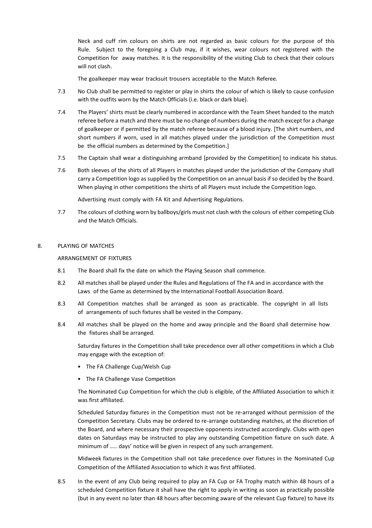Neck and cuff rim colours on shirts are not regarded as basic colours for the purpose of this Rule. Subject to the foregoing a Club may, if it wishes, wear colours not registered with the Competition for away matches. It is the responsibility of the visiting Club to check that their colours will not clash.

The goalkeeper may wear tracksuit trousers acceptable to the Match Referee.

- 7.3 No Club shall be permitted to register or play in shirts the colour of which is likely to cause confusion with the outfits worn by the Match Officials (i.e. black or dark blue).
- 7.4 The Players' shirts must be clearly numbered in accordance with the Team Sheet handed to the match referee before a match and there must be no change of numbers during the match except for a change of goalkeeper or if permitted by the match referee because of a blood injury. [The shirt numbers, and short numbers if worn, used in all matches played under the jurisdiction of the Competition must be the official numbers as determined by the Competition.]
- 7.5 The Captain shall wear a distinguishing armband [provided by the Competition] to indicate his status.
- 7.6 Both sleeves of the shirts of all Players in matches played under the jurisdiction of the Company shall carry a Competition logo as supplied by the Competition on an annual basis if so decided by the Board. When playing in other competitions the shirts of all Players must include the Competition logo.

Advertising must comply with FA Kit and Advertising Regulations.

7.7 The colours of clothing worn by ballboys/girls must not clash with the colours of either competing Club and the Match Officials.

#### 8. PLAYING OF MATCHES

#### ARRANGEMENT OF FIXTURES

- 8.1 The Board shall fix the date on which the Playing Season shall commence.
- 8.2 All matches shall be played under the Rules and Regulations of The FA and in accordance with the Laws of the Game as determined by the International Football Association Board.
- 8.3 All Competition matches shall be arranged as soon as practicable. The copyright in all lists of arrangements of such fixtures shall be vested in the Company.
- 8.4 All matches shall be played on the home and away principle and the Board shall determine how the fixtures shall be arranged.

Saturday fixtures in the Competition shall take precedence over all other competitions in which a Club may engage with the exception of:

- The FA Challenge Cup/Welsh Cup
- The FA Challenge Vase Competition

The Nominated Cup Competition for which the club is eligible, of the Affiliated Association to which it was first affiliated.

Scheduled Saturday fixtures in the Competition must not be re-arranged without permission of the Competition Secretary. Clubs may be ordered to re-arrange outstanding matches, at the discretion of the Board, and where necessary their prospective opponents instructed accordingly. Clubs with open dates on Saturdays may be instructed to play any outstanding Competition fixture on such date. A minimum of ….. days' notice will be given in respect of any such arrangement.

Midweek fixtures in the Competition shall not take precedence over fixtures in the Nominated Cup Competition of the Affiliated Association to which it was first affiliated.

8.5 In the event of any Club being required to play an FA Cup or FA Trophy match within 48 hours of a scheduled Competition fixture it shall have the right to apply in writing as soon as practically possible (but in any event no later than 48 hours after becoming aware of the relevant Cup fixture) to have its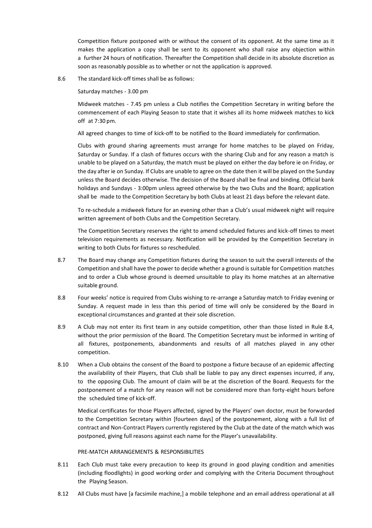Competition fixture postponed with or without the consent of its opponent. At the same time as it makes the application a copy shall be sent to its opponent who shall raise any objection within a further 24 hours of notification. Thereafter the Competition shall decide in its absolute discretion as soon as reasonably possible as to whether or not the application is approved.

8.6 The standard kick-off times shall be as follows:

Saturday matches - 3.00 pm

Midweek matches - 7.45 pm unless a Club notifies the Competition Secretary in writing before the commencement of each Playing Season to state that it wishes all its home midweek matches to kick off at 7:30 pm.

All agreed changes to time of kick-off to be notified to the Board immediately for confirmation.

Clubs with ground sharing agreements must arrange for home matches to be played on Friday, Saturday or Sunday. If a clash of fixtures occurs with the sharing Club and for any reason a match is unable to be played on a Saturday, the match must be played on either the day before ie on Friday, or the day after ie on Sunday. If Clubs are unable to agree on the date then it will be played on the Sunday unless the Board decides otherwise. The decision of the Board shall be final and binding. Official bank holidays and Sundays - 3:00pm unless agreed otherwise by the two Clubs and the Board; application shall be made to the Competition Secretary by both Clubs at least 21 days before the relevant date.

To re-schedule a midweek fixture for an evening other than a Club's usual midweek night will require written agreement of both Clubs and the Competition Secretary.

The Competition Secretary reserves the right to amend scheduled fixtures and kick-off times to meet television requirements as necessary. Notification will be provided by the Competition Secretary in writing to both Clubs for fixtures so rescheduled.

- 8.7 The Board may change any Competition fixtures during the season to suit the overall interests of the Competition and shall have the power to decide whether a ground is suitable for Competition matches and to order a Club whose ground is deemed unsuitable to play its home matches at an alternative suitable ground.
- 8.8 Four weeks' notice is required from Clubs wishing to re-arrange a Saturday match to Friday evening or Sunday. A request made in less than this period of time will only be considered by the Board in exceptional circumstances and granted at their sole discretion.
- 8.9 A Club may not enter its first team in any outside competition, other than those listed in Rule 8.4, without the prior permission of the Board. The Competition Secretary must be informed in writing of all fixtures, postponements, abandonments and results of all matches played in any other competition.
- 8.10 When a Club obtains the consent of the Board to postpone a fixture because of an epidemic affecting the availability of their Players, that Club shall be liable to pay any direct expenses incurred, if any, to the opposing Club. The amount of claim will be at the discretion of the Board. Requests for the postponement of a match for any reason will not be considered more than forty-eight hours before the scheduled time of kick-off.

Medical certificates for those Players affected, signed by the Players' own doctor, must be forwarded to the Competition Secretary within [fourteen days] of the postponement, along with a full list of contract and Non-Contract Players currently registered by the Club at the date of the match which was postponed, giving full reasons against each name for the Player's unavailability.

#### PRE-MATCH ARRANGEMENTS & RESPONSIBILITIES

- 8.11 Each Club must take every precaution to keep its ground in good playing condition and amenities (including floodlights) in good working order and complying with the Criteria Document throughout the Playing Season.
- 8.12 All Clubs must have [a facsimile machine,] a mobile telephone and an email address operational at all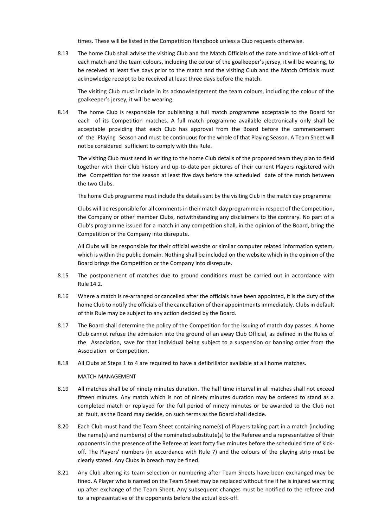times. These will be listed in the Competition Handbook unless a Club requests otherwise.

8.13 The home Club shall advise the visiting Club and the Match Officials of the date and time of kick-off of each match and the team colours, including the colour of the goalkeeper's jersey, it will be wearing, to be received at least five days prior to the match and the visiting Club and the Match Officials must acknowledge receipt to be received at least three days before the match.

The visiting Club must include in its acknowledgement the team colours, including the colour of the goalkeeper's jersey, it will be wearing.

8.14 The home Club is responsible for publishing a full match programme acceptable to the Board for each of its Competition matches. A full match programme available electronically only shall be acceptable providing that each Club has approval from the Board before the commencement of the Playing Season and must be continuous for the whole of that Playing Season. A Team Sheet will not be considered sufficient to comply with this Rule.

The visiting Club must send in writing to the home Club details of the proposed team they plan to field together with their Club history and up-to-date pen pictures of their current Players registered with the Competition for the season at least five days before the scheduled date of the match between the two Clubs.

The home Club programme must include the details sent by the visiting Club in the match day programme

Clubs will be responsible for all comments in their match day programme in respect of the Competition, the Company or other member Clubs, notwithstanding any disclaimers to the contrary. No part of a Club's programme issued for a match in any competition shall, in the opinion of the Board, bring the Competition or the Company into disrepute.

All Clubs will be responsible for their official website or similar computer related information system, which is within the public domain. Nothing shall be included on the website which in the opinion of the Board brings the Competition or the Company into disrepute.

- 8.15 The postponement of matches due to ground conditions must be carried out in accordance with Rule 14.2.
- 8.16 Where a match is re-arranged or cancelled after the officials have been appointed, it is the duty of the home Club to notify the officials of the cancellation of their appointments immediately. Clubs in default of this Rule may be subject to any action decided by the Board.
- 8.17 The Board shall determine the policy of the Competition for the issuing of match day passes. A home Club cannot refuse the admission into the ground of an away Club Official, as defined in the Rules of the Association, save for that individual being subject to a suspension or banning order from the Association or Competition.
- 8.18 All Clubs at Steps 1 to 4 are required to have a defibrillator available at all home matches.

#### MATCH MANAGEMENT

- 8.19 All matches shall be of ninety minutes duration. The half time interval in all matches shall not exceed fifteen minutes. Any match which is not of ninety minutes duration may be ordered to stand as a completed match or replayed for the full period of ninety minutes or be awarded to the Club not at fault, as the Board may decide, on such terms as the Board shall decide.
- 8.20 Each Club must hand the Team Sheet containing name(s) of Players taking part in a match (including the name(s) and number(s) of the nominated substitute(s) to the Referee and a representative of their opponents in the presence of the Referee at least forty five minutes before the scheduled time of kickoff. The Players' numbers (in accordance with Rule 7) and the colours of the playing strip must be clearly stated. Any Clubs in breach may be fined.
- 8.21 Any Club altering its team selection or numbering after Team Sheets have been exchanged may be fined. A Player who is named on the Team Sheet may be replaced without fine if he is injured warming up after exchange of the Team Sheet. Any subsequent changes must be notified to the referee and to a representative of the opponents before the actual kick-off.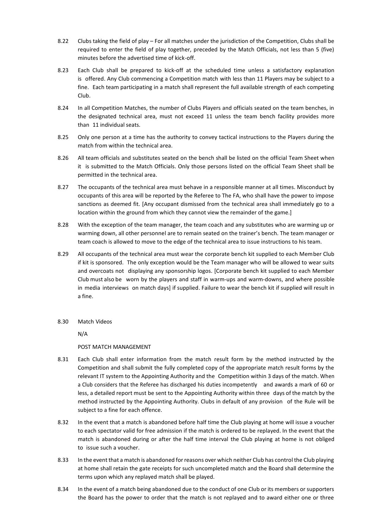- 8.22 Clubs taking the field of play For all matches under the jurisdiction of the Competition, Clubs shall be required to enter the field of play together, preceded by the Match Officials, not less than 5 (five) minutes before the advertised time of kick-off.
- 8.23 Each Club shall be prepared to kick-off at the scheduled time unless a satisfactory explanation is offered. Any Club commencing a Competition match with less than 11 Players may be subject to a fine. Each team participating in a match shall represent the full available strength of each competing Club.
- 8.24 In all Competition Matches, the number of Clubs Players and officials seated on the team benches, in the designated technical area, must not exceed 11 unless the team bench facility provides more than 11 individual seats.
- 8.25 Only one person at a time has the authority to convey tactical instructions to the Players during the match from within the technical area.
- 8.26 All team officials and substitutes seated on the bench shall be listed on the official Team Sheet when it is submitted to the Match Officials. Only those persons listed on the official Team Sheet shall be permitted in the technical area.
- 8.27 The occupants of the technical area must behave in a responsible manner at all times. Misconduct by occupants of this area will be reported by the Referee to The FA, who shall have the power to impose sanctions as deemed fit. [Any occupant dismissed from the technical area shall immediately go to a location within the ground from which they cannot view the remainder of the game.]
- 8.28 With the exception of the team manager, the team coach and any substitutes who are warming up or warming down, all other personnel are to remain seated on the trainer's bench. The team manager or team coach is allowed to move to the edge of the technical area to issue instructions to his team.
- 8.29 All occupants of the technical area must wear the corporate bench kit supplied to each Member Club if kit is sponsored. The only exception would be the Team manager who will be allowed to wear suits and overcoats not displaying any sponsorship logos. [Corporate bench kit supplied to each Member Club must also be worn by the players and staff in warm-ups and warm-downs, and where possible in media interviews on match days] if supplied. Failure to wear the bench kit if supplied will result in a fine.
- 8.30 Match Videos

N/A

#### POST MATCH MANAGEMENT

- 8.31 Each Club shall enter information from the match result form by the method instructed by the Competition and shall submit the fully completed copy of the appropriate match result forms by the relevant IT system to the Appointing Authority and the Competition within 3 days of the match. When a Club considers that the Referee has discharged his duties incompetently and awards a mark of 60 or less, a detailed report must be sent to the Appointing Authority within three days of the match by the method instructed by the Appointing Authority. Clubs in default of any provision of the Rule will be subject to a fine for each offence.
- 8.32 In the event that a match is abandoned before half time the Club playing at home will issue a voucher to each spectator valid for free admission if the match is ordered to be replayed. In the event that the match is abandoned during or after the half time interval the Club playing at home is not obliged to issue such a voucher.
- 8.33 In the event that a match is abandoned for reasons over which neither Club has control the Club playing at home shall retain the gate receipts for such uncompleted match and the Board shall determine the terms upon which any replayed match shall be played.
- 8.34 In the event of a match being abandoned due to the conduct of one Club or its members or supporters the Board has the power to order that the match is not replayed and to award either one or three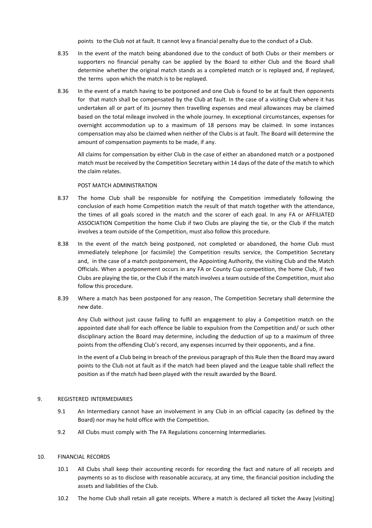points to the Club not at fault. It cannot levy a financial penalty due to the conduct of a Club.

- 8.35 In the event of the match being abandoned due to the conduct of both Clubs or their members or supporters no financial penalty can be applied by the Board to either Club and the Board shall determine whether the original match stands as a completed match or is replayed and, if replayed, the terms upon which the match is to be replayed.
- 8.36 In the event of a match having to be postponed and one Club is found to be at fault then opponents for that match shall be compensated by the Club at fault. In the case of a visiting Club where it has undertaken all or part of its journey then travelling expenses and meal allowances may be claimed based on the total mileage involved in the whole journey. In exceptional circumstances, expenses for overnight accommodation up to a maximum of 18 persons may be claimed. In some instances compensation may also be claimed when neither of the Clubs is at fault. The Board will determine the amount of compensation payments to be made, if any.

All claims for compensation by either Club in the case of either an abandoned match or a postponed match must be received by the Competition Secretary within 14 days of the date of the match to which the claim relates.

#### POST MATCH ADMINISTRATION

- 8.37 The home Club shall be responsible for notifying the Competition immediately following the conclusion of each home Competition match the result of that match together with the attendance, the times of all goals scored in the match and the scorer of each goal. In any FA or AFFILIATED ASSOCIATION Competition the home Club if two Clubs are playing the tie, or the Club if the match involves a team outside of the Competition, must also follow this procedure.
- 8.38 In the event of the match being postponed, not completed or abandoned, the home Club must immediately telephone [or facsimile] the Competition results service, the Competition Secretary and, in the case of a match postponement, the Appointing Authority, the visiting Club and the Match Officials. When a postponement occurs in any FA or County Cup competition, the home Club, if two Clubs are playing the tie, or the Club if the match involves a team outside of the Competition, must also follow this procedure.
- 8.39 Where a match has been postponed for any reason, The Competition Secretary shall determine the new date.

Any Club without just cause failing to fulfil an engagement to play a Competition match on the appointed date shall for each offence be liable to expulsion from the Competition and/ or such other disciplinary action the Board may determine, including the deduction of up to a maximum of three points from the offending Club's record, any expenses incurred by their opponents, and a fine.

In the event of a Club being in breach of the previous paragraph of this Rule then the Board may award points to the Club not at fault as if the match had been played and the League table shall reflect the position as if the match had been played with the result awarded by the Board.

#### 9. REGISTERED INTERMEDIARIES

- 9.1 An Intermediary cannot have an involvement in any Club in an official capacity (as defined by the Board) nor may he hold office with the Competition.
- 9.2 All Clubs must comply with The FA Regulations concerning Intermediaries.

#### 10. FINANCIAL RECORDS

- 10.1 All Clubs shall keep their accounting records for recording the fact and nature of all receipts and payments so as to disclose with reasonable accuracy, at any time, the financial position including the assets and liabilities of the Club.
- 10.2 The home Club shall retain all gate receipts. Where a match is declared all ticket the Away [visiting]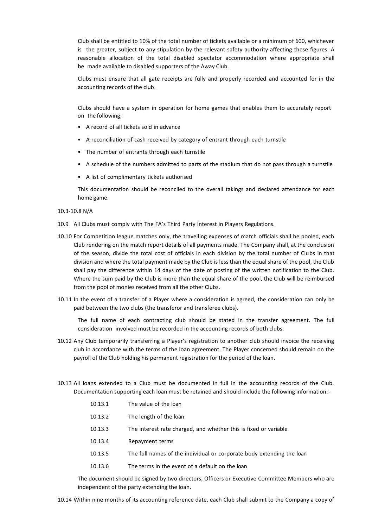Club shall be entitled to 10% of the total number of tickets available or a minimum of 600, whichever is the greater, subject to any stipulation by the relevant safety authority affecting these figures. A reasonable allocation of the total disabled spectator accommodation where appropriate shall be made available to disabled supporters of the Away Club.

Clubs must ensure that all gate receipts are fully and properly recorded and accounted for in the accounting records of the club.

Clubs should have a system in operation for home games that enables them to accurately report on the following;

- A record of all tickets sold in advance
- A reconciliation of cash received by category of entrant through each turnstile
- The number of entrants through each turnstile
- A schedule of the numbers admitted to parts of the stadium that do not pass through a turnstile
- A list of complimentary tickets authorised

This documentation should be reconciled to the overall takings and declared attendance for each home game.

#### 10.3-10.8 N/A

- 10.9 All Clubs must comply with The FA's Third Party Interest in Players Regulations.
- 10.10 For Competition league matches only, the travelling expenses of match officials shall be pooled, each Club rendering on the match report details of all payments made. The Company shall, at the conclusion of the season, divide the total cost of officials in each division by the total number of Clubs in that division and where the total payment made by the Club is less than the equal share of the pool, the Club shall pay the difference within 14 days of the date of posting of the written notification to the Club. Where the sum paid by the Club is more than the equal share of the pool, the Club will be reimbursed from the pool of monies received from all the other Clubs.
- 10.11 In the event of a transfer of a Player where a consideration is agreed, the consideration can only be paid between the two clubs (the transferor and transferee clubs).

The full name of each contracting club should be stated in the transfer agreement. The full consideration involved must be recorded in the accounting records of both clubs.

- 10.12 Any Club temporarily transferring a Player's registration to another club should invoice the receiving club in accordance with the terms of the loan agreement. The Player concerned should remain on the payroll of the Club holding his permanent registration for the period of the loan.
- 10.13 All loans extended to a Club must be documented in full in the accounting records of the Club. Documentation supporting each loan must be retained and should include the following information:-

| 10.13.1 | The value of the loan                                                 |
|---------|-----------------------------------------------------------------------|
| 10.13.2 | The length of the loan                                                |
| 10.13.3 | The interest rate charged, and whether this is fixed or variable      |
| 10.13.4 | Repayment terms                                                       |
| 10.13.5 | The full names of the individual or corporate body extending the loan |
| 10.13.6 | The terms in the event of a default on the loan                       |
|         |                                                                       |

The document should be signed by two directors, Officers or Executive Committee Members who are independent of the party extending the loan.

10.14 Within nine months of its accounting reference date, each Club shall submit to the Company a copy of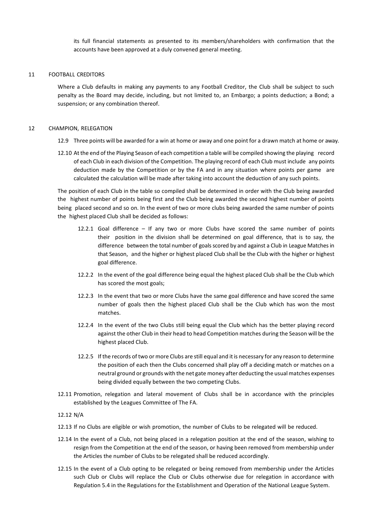its full financial statements as presented to its members/shareholders with confirmation that the accounts have been approved at a duly convened general meeting.

#### 11 FOOTBALL CREDITORS

Where a Club defaults in making any payments to any Football Creditor, the Club shall be subject to such penalty as the Board may decide, including, but not limited to, an Embargo; a points deduction; a Bond; a suspension; or any combination thereof.

#### 12 CHAMPION, RELEGATION

- 12.9 Three points will be awarded for a win at home or away and one point for a drawn match at home or away.
- 12.10 At the end of the Playing Season of each competition a table will be compiled showing the playing record of each Club in each division of the Competition. The playing record of each Club must include any points deduction made by the Competition or by the FA and in any situation where points per game are calculated the calculation will be made after taking into account the deduction of any such points.

The position of each Club in the table so compiled shall be determined in order with the Club being awarded the highest number of points being first and the Club being awarded the second highest number of points being placed second and so on. In the event of two or more clubs being awarded the same number of points the highest placed Club shall be decided as follows:

- 12.2.1 Goal difference If any two or more Clubs have scored the same number of points their position in the division shall be determined on goal difference, that is to say, the difference between the total number of goals scored by and against a Club in League Matches in that Season, and the higher or highest placed Club shall be the Club with the higher or highest goal difference.
- 12.2.2 In the event of the goal difference being equal the highest placed Club shall be the Club which has scored the most goals;
- 12.2.3 In the event that two or more Clubs have the same goal difference and have scored the same number of goals then the highest placed Club shall be the Club which has won the most matches.
- 12.2.4 In the event of the two Clubs still being equal the Club which has the better playing record against the other Club in their head to head Competition matches during the Season will be the highest placed Club.
- 12.2.5 If the records of two or more Clubs are still equal and it is necessary for any reason to determine the position of each then the Clubs concerned shall play off a deciding match or matches on a neutral ground or grounds with the net gate money after deducting the usual matches expenses being divided equally between the two competing Clubs.
- 12.11 Promotion, relegation and lateral movement of Clubs shall be in accordance with the principles established by the Leagues Committee of The FA.

#### 12.12 N/A

- 12.13 If no Clubs are eligible or wish promotion, the number of Clubs to be relegated will be reduced.
- 12.14 In the event of a Club, not being placed in a relegation position at the end of the season, wishing to resign from the Competition at the end of the season, or having been removed from membership under the Articles the number of Clubs to be relegated shall be reduced accordingly.
- 12.15 In the event of a Club opting to be relegated or being removed from membership under the Articles such Club or Clubs will replace the Club or Clubs otherwise due for relegation in accordance with Regulation 5.4 in the Regulations for the Establishment and Operation of the National League System.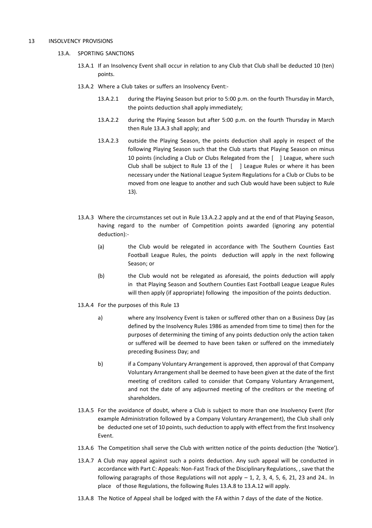#### 13 INSOLVENCY PROVISIONS

#### 13.A. SPORTING SANCTIONS

- 13.A.1 If an Insolvency Event shall occur in relation to any Club that Club shall be deducted 10 (ten) points.
- 13.A.2 Where a Club takes or suffers an Insolvency Event:-
	- 13.A.2.1 during the Playing Season but prior to 5:00 p.m. on the fourth Thursday in March, the points deduction shall apply immediately;
	- 13.A.2.2 during the Playing Season but after 5:00 p.m. on the fourth Thursday in March then Rule 13.A.3 shall apply; and
	- 13.A.2.3 outside the Playing Season, the points deduction shall apply in respect of the following Playing Season such that the Club starts that Playing Season on minus 10 points (including a Club or Clubs Relegated from the [ ] League, where such Club shall be subject to Rule 13 of the [ ] League Rules or where it has been necessary under the National League System Regulations for a Club or Clubs to be moved from one league to another and such Club would have been subject to Rule 13).
- 13.A.3 Where the circumstances set out in Rule 13.A.2.2 apply and at the end of that Playing Season, having regard to the number of Competition points awarded (ignoring any potential deduction):-
	- (a) the Club would be relegated in accordance with The Southern Counties East Football League Rules, the points deduction will apply in the next following Season; or
	- (b) the Club would not be relegated as aforesaid, the points deduction will apply in that Playing Season and Southern Counties East Football League League Rules will then apply (if appropriate) following the imposition of the points deduction.
- 13.A.4 For the purposes of this Rule 13
	- a) where any Insolvency Event is taken or suffered other than on a Business Day (as defined by the Insolvency Rules 1986 as amended from time to time) then for the purposes of determining the timing of any points deduction only the action taken or suffered will be deemed to have been taken or suffered on the immediately preceding Business Day; and
	- b) if a Company Voluntary Arrangement is approved, then approval of that Company Voluntary Arrangement shall be deemed to have been given at the date of the first meeting of creditors called to consider that Company Voluntary Arrangement, and not the date of any adjourned meeting of the creditors or the meeting of shareholders.
- 13.A.5 For the avoidance of doubt, where a Club is subject to more than one Insolvency Event (for example Administration followed by a Company Voluntary Arrangement), the Club shall only be deducted one set of 10 points, such deduction to apply with effect from the first Insolvency Event.
- 13.A.6 The Competition shall serve the Club with written notice of the points deduction (the 'Notice').
- 13.A.7 A Club may appeal against such a points deduction. Any such appeal will be conducted in accordance with Part C: Appeals: Non-Fast Track of the Disciplinary Regulations, , save that the following paragraphs of those Regulations will not apply  $-1$ , 2, 3, 4, 5, 6, 21, 23 and 24.. In place of those Regulations, the following Rules 13.A.8 to 13.A.12 will apply.
- 13.A.8 The Notice of Appeal shall be lodged with the FA within 7 days of the date of the Notice.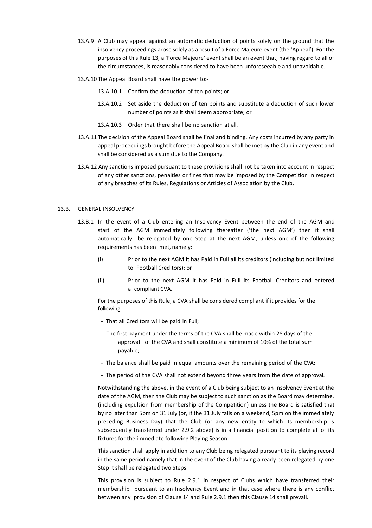- 13.A.9 A Club may appeal against an automatic deduction of points solely on the ground that the insolvency proceedings arose solely as a result of a Force Majeure event (the 'Appeal'). For the purposes of this Rule 13, a 'Force Majeure' event shall be an event that, having regard to all of the circumstances, is reasonably considered to have been unforeseeable and unavoidable.
- 13.A.10 The Appeal Board shall have the power to:-
	- 13.A.10.1 Confirm the deduction of ten points; or
	- 13.A.10.2 Set aside the deduction of ten points and substitute a deduction of such lower number of points as it shall deem appropriate; or
	- 13.A.10.3 Order that there shall be no sanction at all.
- 13.A.11 The decision of the Appeal Board shall be final and binding. Any costs incurred by any party in appeal proceedings brought before the Appeal Board shall be met by the Club in any event and shall be considered as a sum due to the Company.
- 13.A.12 Any sanctions imposed pursuant to these provisions shall not be taken into account in respect of any other sanctions, penalties or fines that may be imposed by the Competition in respect of any breaches of its Rules, Regulations or Articles of Association by the Club.

#### 13.B. GENERAL INSOLVENCY

- 13.B.1 In the event of a Club entering an Insolvency Event between the end of the AGM and start of the AGM immediately following thereafter ('the next AGM') then it shall automatically be relegated by one Step at the next AGM, unless one of the following requirements has been met, namely:
	- (i) Prior to the next AGM it has Paid in Full all its creditors (including but not limited to Football Creditors); or
	- (ii) Prior to the next AGM it has Paid in Full its Football Creditors and entered a compliant CVA.

For the purposes of this Rule, a CVA shall be considered compliant if it provides for the following:

- That all Creditors will be paid in Full;
- The first payment under the terms of the CVA shall be made within 28 days of the approval of the CVA and shall constitute a minimum of 10% of the total sum payable;
- The balance shall be paid in equal amounts over the remaining period of the CVA;
- The period of the CVA shall not extend beyond three years from the date of approval.

Notwithstanding the above, in the event of a Club being subject to an Insolvency Event at the date of the AGM, then the Club may be subject to such sanction as the Board may determine, (including expulsion from membership of the Competition) unless the Board is satisfied that by no later than 5pm on 31 July (or, if the 31 July falls on a weekend, 5pm on the immediately preceding Business Day) that the Club (or any new entity to which its membership is subsequently transferred under 2.9.2 above) is in a financial position to complete all of its fixtures for the immediate following Playing Season.

This sanction shall apply in addition to any Club being relegated pursuant to its playing record in the same period namely that in the event of the Club having already been relegated by one Step it shall be relegated two Steps.

This provision is subject to Rule 2.9.1 in respect of Clubs which have transferred their membership pursuant to an Insolvency Event and in that case where there is any conflict between any provision of Clause 14 and Rule 2.9.1 then this Clause 14 shall prevail.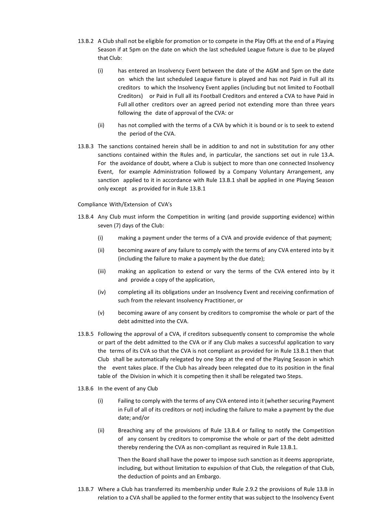- 13.B.2 A Club shall not be eligible for promotion or to compete in the Play Offs at the end of a Playing Season if at 5pm on the date on which the last scheduled League fixture is due to be played that Club:
	- (i) has entered an Insolvency Event between the date of the AGM and 5pm on the date on which the last scheduled League fixture is played and has not Paid in Full all its creditors to which the Insolvency Event applies (including but not limited to Football Creditors) or Paid in Full all its Football Creditors and entered a CVA to have Paid in Full all other creditors over an agreed period not extending more than three years following the date of approval of the CVA: or
	- (ii) has not complied with the terms of a CVA by which it is bound or is to seek to extend the period of the CVA.
- 13.B.3 The sanctions contained herein shall be in addition to and not in substitution for any other sanctions contained within the Rules and, in particular, the sanctions set out in rule 13.A. For the avoidance of doubt, where a Club is subject to more than one connected Insolvency Event, for example Administration followed by a Company Voluntary Arrangement, any sanction applied to it in accordance with Rule 13.B.1 shall be applied in one Playing Season only except as provided for in Rule 13.B.1

#### Compliance With/Extension of CVA's

- 13.B.4 Any Club must inform the Competition in writing (and provide supporting evidence) within seven (7) days of the Club:
	- (i) making a payment under the terms of a CVA and provide evidence of that payment;
	- (ii) becoming aware of any failure to comply with the terms of any CVA entered into by it (including the failure to make a payment by the due date);
	- (iii) making an application to extend or vary the terms of the CVA entered into by it and provide a copy of the application,
	- (iv) completing all its obligations under an Insolvency Event and receiving confirmation of such from the relevant Insolvency Practitioner, or
	- (v) becoming aware of any consent by creditors to compromise the whole or part of the debt admitted into the CVA.
- 13.B.5 Following the approval of a CVA, if creditors subsequently consent to compromise the whole or part of the debt admitted to the CVA or if any Club makes a successful application to vary the terms of its CVA so that the CVA is not compliant as provided for in Rule 13.B.1 then that Club shall be automatically relegated by one Step at the end of the Playing Season in which the event takes place. If the Club has already been relegated due to its position in the final table of the Division in which it is competing then it shall be relegated two Steps.
- 13.B.6 In the event of any Club
	- (i) Failing to comply with the terms of any CVA entered into it (whether securing Payment in Full of all of its creditors or not) including the failure to make a payment by the due date; and/or
	- (ii) Breaching any of the provisions of Rule 13.B.4 or failing to notify the Competition of any consent by creditors to compromise the whole or part of the debt admitted thereby rendering the CVA as non-compliant as required in Rule 13.B.1.

Then the Board shall have the power to impose such sanction as it deems appropriate, including, but without limitation to expulsion of that Club, the relegation of that Club, the deduction of points and an Embargo.

13.B.7 Where a Club has transferred its membership under Rule 2.9.2 the provisions of Rule 13.B in relation to a CVA shall be applied to the former entity that was subject to the Insolvency Event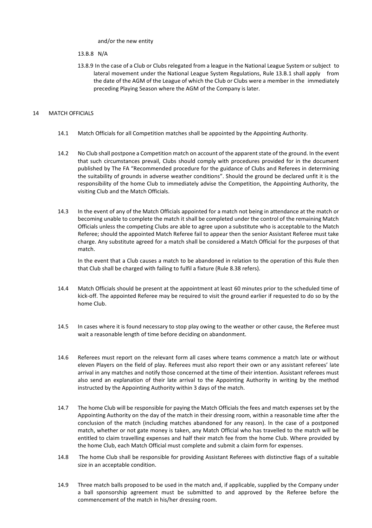and/or the new entity

13.B.8 N/A

13.8.9 In the case of a Club or Clubs relegated from a league in the National League System or subject to lateral movement under the National League System Regulations, Rule 13.B.1 shall apply from the date of the AGM of the League of which the Club or Clubs were a member in the immediately preceding Playing Season where the AGM of the Company is later.

#### 14 MATCH OFFICIALS

- 14.1 Match Officials for all Competition matches shall be appointed by the Appointing Authority.
- 14.2 No Club shall postpone a Competition match on account of the apparent state of the ground. In the event that such circumstances prevail, Clubs should comply with procedures provided for in the document published by The FA "Recommended procedure for the guidance of Clubs and Referees in determining the suitability of grounds in adverse weather conditions". Should the ground be declared unfit it is the responsibility of the home Club to immediately advise the Competition, the Appointing Authority, the visiting Club and the Match Officials.
- 14.3 In the event of any of the Match Officials appointed for a match not being in attendance at the match or becoming unable to complete the match it shall be completed under the control of the remaining Match Officials unless the competing Clubs are able to agree upon a substitute who is acceptable to the Match Referee; should the appointed Match Referee fail to appear then the senior Assistant Referee must take charge. Any substitute agreed for a match shall be considered a Match Official for the purposes of that match.

In the event that a Club causes a match to be abandoned in relation to the operation of this Rule then that Club shall be charged with failing to fulfil a fixture (Rule 8.38 refers).

- 14.4 Match Officials should be present at the appointment at least 60 minutes prior to the scheduled time of kick-off. The appointed Referee may be required to visit the ground earlier if requested to do so by the home Club.
- 14.5 In cases where it is found necessary to stop play owing to the weather or other cause, the Referee must wait a reasonable length of time before deciding on abandonment.
- 14.6 Referees must report on the relevant form all cases where teams commence a match late or without eleven Players on the field of play. Referees must also report their own or any assistant referees' late arrival in any matches and notify those concerned at the time of their intention. Assistant referees must also send an explanation of their late arrival to the Appointing Authority in writing by the method instructed by the Appointing Authority within 3 days of the match.
- 14.7 The home Club will be responsible for paying the Match Officials the fees and match expenses set by the Appointing Authority on the day of the match in their dressing room, within a reasonable time after the conclusion of the match (including matches abandoned for any reason). In the case of a postponed match, whether or not gate money is taken, any Match Official who has travelled to the match will be entitled to claim travelling expenses and half their match fee from the home Club. Where provided by the home Club, each Match Official must complete and submit a claim form for expenses.
- 14.8 The home Club shall be responsible for providing Assistant Referees with distinctive flags of a suitable size in an acceptable condition.
- 14.9 Three match balls proposed to be used in the match and, if applicable, supplied by the Company under a ball sponsorship agreement must be submitted to and approved by the Referee before the commencement of the match in his/her dressing room.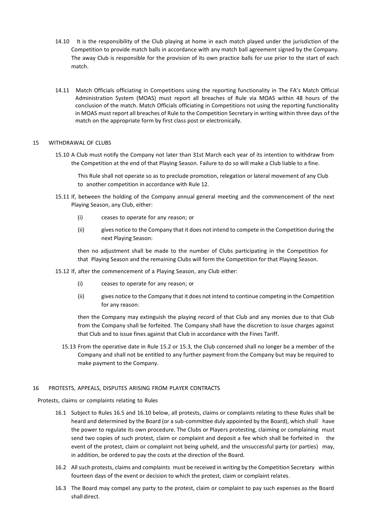- 14.10 It is the responsibility of the Club playing at home in each match played under the jurisdiction of the Competition to provide match balls in accordance with any match ball agreement signed by the Company. The away Club is responsible for the provision of its own practice balls for use prior to the start of each match.
- 14.11 Match Officials officiating in Competitions using the reporting functionality in The FA's Match Official Administration System (MOAS) must report all breaches of Rule via MOAS within 48 hours of the conclusion of the match. Match Officials officiating in Competitions not using the reporting functionality in MOAS must report all breaches of Rule to the Competition Secretary in writing within three days of the match on the appropriate form by first class post or electronically.

#### 15 WITHDRAWAL OF CLUBS

15.10 A Club must notify the Company not later than 31st March each year of its intention to withdraw from the Competition at the end of that Playing Season. Failure to do so will make a Club liable to a fine.

This Rule shall not operate so as to preclude promotion, relegation or lateral movement of any Club to another competition in accordance with Rule 12.

- 15.11 If, between the holding of the Company annual general meeting and the commencement of the next Playing Season, any Club, either:
	- (i) ceases to operate for any reason; or
	- (ii) gives notice to the Company that it does not intend to compete in the Competition during the next Playing Season:

then no adjustment shall be made to the number of Clubs participating in the Competition for that Playing Season and the remaining Clubs will form the Competition for that Playing Season.

- 15.12 If, after the commencement of a Playing Season, any Club either:
	- (i) ceases to operate for any reason; or
	- (ii) gives notice to the Company that it does not intend to continue competing in the Competition for any reason:

then the Company may extinguish the playing record of that Club and any monies due to that Club from the Company shall be forfeited. The Company shall have the discretion to issue charges against that Club and to issue fines against that Club in accordance with the Fines Tariff.

15.13 From the operative date in Rule 15.2 or 15.3, the Club concerned shall no longer be a member of the Company and shall not be entitled to any further payment from the Company but may be required to make payment to the Company.

#### 16 PROTESTS, APPEALS, DISPUTES ARISING FROM PLAYER CONTRACTS

Protests, claims or complaints relating to Rules

- 16.1 Subject to Rules 16.5 and 16.10 below, all protests, claims or complaints relating to these Rules shall be heard and determined by the Board (or a sub-committee duly appointed by the Board), which shall have the power to regulate its own procedure. The Clubs or Players protesting, claiming or complaining must send two copies of such protest, claim or complaint and deposit a fee which shall be forfeited in the event of the protest, claim or complaint not being upheld, and the unsuccessful party (or parties) may, in addition, be ordered to pay the costs at the direction of the Board.
- 16.2 All such protests, claims and complaints must be received in writing by the Competition Secretary within fourteen days of the event or decision to which the protest, claim or complaint relates.
- 16.3 The Board may compel any party to the protest, claim or complaint to pay such expenses as the Board shall direct.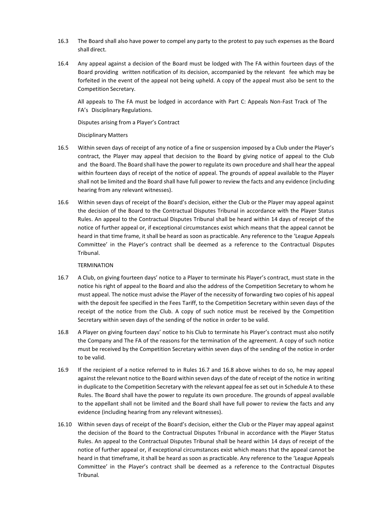- 16.3 The Board shall also have power to compel any party to the protest to pay such expenses as the Board shall direct.
- 16.4 Any appeal against a decision of the Board must be lodged with The FA within fourteen days of the Board providing written notification of its decision, accompanied by the relevant fee which may be forfeited in the event of the appeal not being upheld. A copy of the appeal must also be sent to the Competition Secretary.

All appeals to The FA must be lodged in accordance with Part C: Appeals Non-Fast Track of The FA's Disciplinary Regulations.

Disputes arising from a Player's Contract

Disciplinary Matters

- 16.5 Within seven days of receipt of any notice of a fine or suspension imposed by a Club under the Player's contract, the Player may appeal that decision to the Board by giving notice of appeal to the Club and the Board. The Board shall have the power to regulate its own procedure and shall hear the appeal within fourteen days of receipt of the notice of appeal. The grounds of appeal available to the Player shall not be limited and the Board shall have full power to review the facts and any evidence (including hearing from any relevant witnesses).
- 16.6 Within seven days of receipt of the Board's decision, either the Club or the Player may appeal against the decision of the Board to the Contractual Disputes Tribunal in accordance with the Player Status Rules. An appeal to the Contractual Disputes Tribunal shall be heard within 14 days of receipt of the notice of further appeal or, if exceptional circumstances exist which means that the appeal cannot be heard in that time frame, it shall be heard as soon as practicable. Any reference to the 'League Appeals Committee' in the Player's contract shall be deemed as a reference to the Contractual Disputes Tribunal.

TERMINATION

- 16.7 A Club, on giving fourteen days' notice to a Player to terminate his Player's contract, must state in the notice his right of appeal to the Board and also the address of the Competition Secretary to whom he must appeal. The notice must advise the Player of the necessity of forwarding two copies of his appeal with the deposit fee specified in the Fees Tariff, to the Competition Secretary within seven days of the receipt of the notice from the Club. A copy of such notice must be received by the Competition Secretary within seven days of the sending of the notice in order to be valid.
- 16.8 A Player on giving fourteen days' notice to his Club to terminate his Player's contract must also notify the Company and The FA of the reasons for the termination of the agreement. A copy of such notice must be received by the Competition Secretary within seven days of the sending of the notice in order to be valid.
- 16.9 If the recipient of a notice referred to in Rules 16.7 and 16.8 above wishes to do so, he may appeal against the relevant notice to the Board within seven days of the date of receipt of the notice in writing in duplicate to the Competition Secretary with the relevant appeal fee as set out in Schedule A to these Rules. The Board shall have the power to regulate its own procedure. The grounds of appeal available to the appellant shall not be limited and the Board shall have full power to review the facts and any evidence (including hearing from any relevant witnesses).
- 16.10 Within seven days of receipt of the Board's decision, either the Club or the Player may appeal against the decision of the Board to the Contractual Disputes Tribunal in accordance with the Player Status Rules. An appeal to the Contractual Disputes Tribunal shall be heard within 14 days of receipt of the notice of further appeal or, if exceptional circumstances exist which means that the appeal cannot be heard in that timeframe, it shall be heard as soon as practicable. Any reference to the 'League Appeals Committee' in the Player's contract shall be deemed as a reference to the Contractual Disputes Tribunal.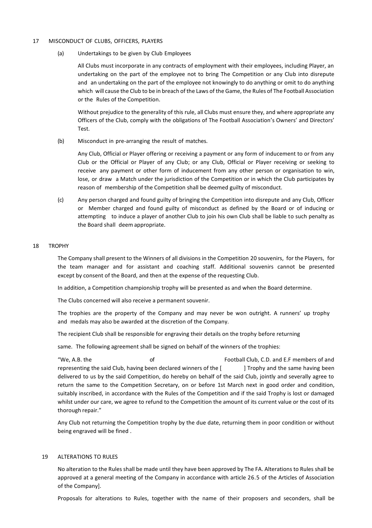#### 17 MISCONDUCT OF CLUBS, OFFICERS, PLAYERS

(a) Undertakings to be given by Club Employees

All Clubs must incorporate in any contracts of employment with their employees, including Player, an undertaking on the part of the employee not to bring The Competition or any Club into disrepute and an undertaking on the part of the employee not knowingly to do anything or omit to do anything which will cause the Club to be in breach of the Laws of the Game, the Rules of The Football Association or the Rules of the Competition.

Without prejudice to the generality of this rule, all Clubs must ensure they, and where appropriate any Officers of the Club, comply with the obligations of The Football Association's Owners' and Directors' Test.

(b) Misconduct in pre-arranging the result of matches.

Any Club, Official or Player offering or receiving a payment or any form of inducement to or from any Club or the Official or Player of any Club; or any Club, Official or Player receiving or seeking to receive any payment or other form of inducement from any other person or organisation to win, lose, or draw a Match under the jurisdiction of the Competition or in which the Club participates by reason of membership of the Competition shall be deemed guilty of misconduct.

(c) Any person charged and found guilty of bringing the Competition into disrepute and any Club, Officer or Member charged and found guilty of misconduct as defined by the Board or of inducing or attempting to induce a player of another Club to join his own Club shall be liable to such penalty as the Board shall deem appropriate.

#### 18 TROPHY

The Company shall present to the Winners of all divisions in the Competition 20 souvenirs, for the Players, for the team manager and for assistant and coaching staff. Additional souvenirs cannot be presented except by consent of the Board, and then at the expense of the requesting Club.

In addition, a Competition championship trophy will be presented as and when the Board determine.

The Clubs concerned will also receive a permanent souvenir.

The trophies are the property of the Company and may never be won outright. A runners' up trophy and medals may also be awarded at the discretion of the Company.

The recipient Club shall be responsible for engraving their details on the trophy before returning

same. The following agreement shall be signed on behalf of the winners of the trophies:

"We, A.B. the of Football Club, C.D. and E.F members of and representing the said Club, having been declared winners of the [ ] Trophy and the same having been delivered to us by the said Competition, do hereby on behalf of the said Club, jointly and severally agree to return the same to the Competition Secretary, on or before 1st March next in good order and condition, suitably inscribed, in accordance with the Rules of the Competition and if the said Trophy is lost or damaged whilst under our care, we agree to refund to the Competition the amount of its current value or the cost of its thorough repair."

Any Club not returning the Competition trophy by the due date, returning them in poor condition or without being engraved will be fined .

#### 19 ALTERATIONS TO RULES

No alteration to the Rules shall be made until they have been approved by The FA. Alterations to Rules shall be approved at a general meeting of the Company in accordance with article 26.5 of the Articles of Association of the Company].

Proposals for alterations to Rules, together with the name of their proposers and seconders, shall be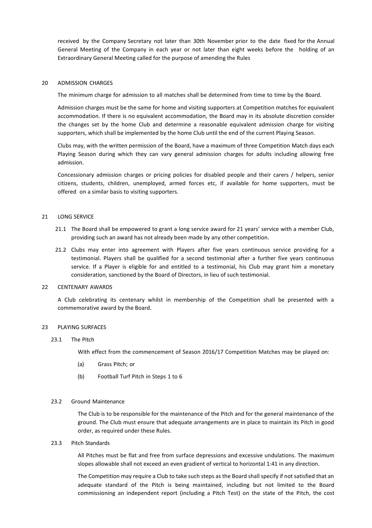received by the Company Secretary not later than 30th November prior to the date fixed for the Annual General Meeting of the Company in each year or not later than eight weeks before the holding of an Extraordinary General Meeting called for the purpose of amending the Rules

#### 20 ADMISSION CHARGES

The minimum charge for admission to all matches shall be determined from time to time by the Board.

Admission charges must be the same for home and visiting supporters at Competition matches for equivalent accommodation. If there is no equivalent accommodation, the Board may in its absolute discretion consider the changes set by the home Club and determine a reasonable equivalent admission charge for visiting supporters, which shall be implemented by the home Club until the end of the current Playing Season.

Clubs may, with the written permission of the Board, have a maximum of three Competition Match days each Playing Season during which they can vary general admission charges for adults including allowing free admission.

Concessionary admission charges or pricing policies for disabled people and their carers / helpers, senior citizens, students, children, unemployed, armed forces etc, if available for home supporters, must be offered on a similar basis to visiting supporters.

#### 21 LONG SERVICE

- 21.1 The Board shall be empowered to grant a long service award for 21 years' service with a member Club, providing such an award has not already been made by any other competition.
- 21.2 Clubs may enter into agreement with Players after five years continuous service providing for a testimonial. Players shall be qualified for a second testimonial after a further five years continuous service. If a Player is eligible for and entitled to a testimonial, his Club may grant him a monetary consideration, sanctioned by the Board of Directors, in lieu of such testimonial.

#### 22 CENTENARY AWARDS

A Club celebrating its centenary whilst in membership of the Competition shall be presented with a commemorative award by the Board.

#### 23 PLAYING SURFACES

#### 23.1 The Pitch

With effect from the commencement of Season 2016/17 Competition Matches may be played on:

- (a) Grass Pitch; or
- (b) Football Turf Pitch in Steps 1 to 6

#### 23.2 Ground Maintenance

The Club is to be responsible for the maintenance of the Pitch and for the general maintenance of the ground. The Club must ensure that adequate arrangements are in place to maintain its Pitch in good order, as required under these Rules.

23.3 Pitch Standards

All Pitches must be flat and free from surface depressions and excessive undulations. The maximum slopes allowable shall not exceed an even gradient of vertical to horizontal 1:41 in any direction.

The Competition may require a Club to take such steps as the Board shall specify if not satisfied that an adequate standard of the Pitch is being maintained, including but not limited to the Board commissioning an independent report (including a Pitch Test) on the state of the Pitch, the cost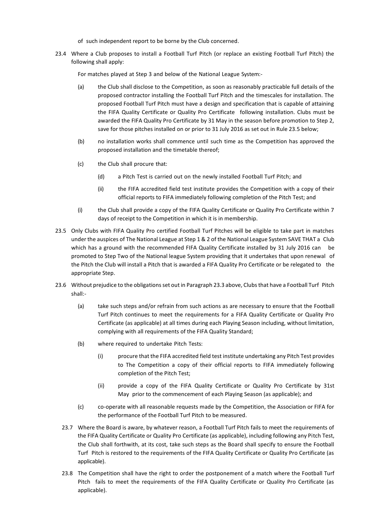- of such independent report to be borne by the Club concerned.
- 23.4 Where a Club proposes to install a Football Turf Pitch (or replace an existing Football Turf Pitch) the following shall apply:

For matches played at Step 3 and below of the National League System:-

- (a) the Club shall disclose to the Competition, as soon as reasonably practicable full details of the proposed contractor installing the Football Turf Pitch and the timescales for installation. The proposed Football Turf Pitch must have a design and specification that is capable of attaining the FIFA Quality Certificate or Quality Pro Certificate following installation. Clubs must be awarded the FIFA Quality Pro Certificate by 31 May in the season before promotion to Step 2, save for those pitches installed on or prior to 31 July 2016 as set out in Rule 23.5 below;
- (b) no installation works shall commence until such time as the Competition has approved the proposed installation and the timetable thereof;
- (c) the Club shall procure that:
	- (d) a Pitch Test is carried out on the newly installed Football Turf Pitch; and
	- (ii) the FIFA accredited field test institute provides the Competition with a copy of their official reports to FIFA immediately following completion of the Pitch Test; and
- (i) the Club shall provide a copy of the FIFA Quality Certificate or Quality Pro Certificate within 7 days of receipt to the Competition in which it is in membership.
- 23.5 Only Clubs with FIFA Quality Pro certified Football Turf Pitches will be eligible to take part in matches under the auspices of The National League at Step 1 & 2 of the National League System SAVE THAT a Club which has a ground with the recommended FIFA Quality Certificate installed by 31 July 2016 can be promoted to Step Two of the National league System providing that it undertakes that upon renewal of the Pitch the Club will install a Pitch that is awarded a FIFA Quality Pro Certificate or be relegated to the appropriate Step.
- 23.6 Without prejudice to the obligations set out in Paragraph 23.3 above, Clubs that have a Football Turf Pitch shall:-
	- (a) take such steps and/or refrain from such actions as are necessary to ensure that the Football Turf Pitch continues to meet the requirements for a FIFA Quality Certificate or Quality Pro Certificate (as applicable) at all times during each Playing Season including, without limitation, complying with all requirements of the FIFA Quality Standard;
	- (b) where required to undertake Pitch Tests:
		- (i) procure that the FIFA accredited field test institute undertaking any Pitch Test provides to The Competition a copy of their official reports to FIFA immediately following completion of the Pitch Test;
		- (ii) provide a copy of the FIFA Quality Certificate or Quality Pro Certificate by 31st May prior to the commencement of each Playing Season (as applicable); and
	- (c) co-operate with all reasonable requests made by the Competition, the Association or FIFA for the performance of the Football Turf Pitch to be measured.
	- 23.7 Where the Board is aware, by whatever reason, a Football Turf Pitch fails to meet the requirements of the FIFA Quality Certificate or Quality Pro Certificate (as applicable), including following any Pitch Test, the Club shall forthwith, at its cost, take such steps as the Board shall specify to ensure the Football Turf Pitch is restored to the requirements of the FIFA Quality Certificate or Quality Pro Certificate (as applicable).
	- 23.8 The Competition shall have the right to order the postponement of a match where the Football Turf Pitch fails to meet the requirements of the FIFA Quality Certificate or Quality Pro Certificate (as applicable).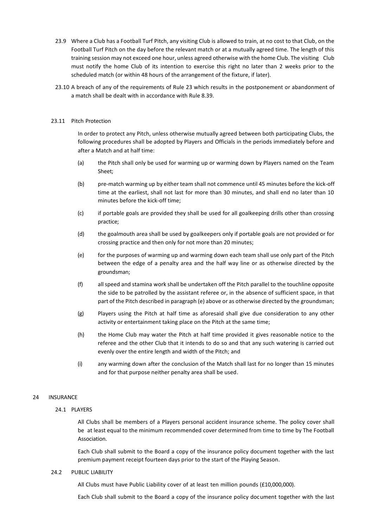- 23.9 Where a Club has a Football Turf Pitch, any visiting Club is allowed to train, at no cost to that Club, on the Football Turf Pitch on the day before the relevant match or at a mutually agreed time. The length of this training session may not exceed one hour, unless agreed otherwise with the home Club. The visiting Club must notify the home Club of its intention to exercise this right no later than 2 weeks prior to the scheduled match (or within 48 hours of the arrangement of the fixture, if later).
- 23.10 A breach of any of the requirements of Rule 23 which results in the postponement or abandonment of a match shall be dealt with in accordance with Rule 8.39.

#### 23.11 Pitch Protection

In order to protect any Pitch, unless otherwise mutually agreed between both participating Clubs, the following procedures shall be adopted by Players and Officials in the periods immediately before and after a Match and at half time:

- (a) the Pitch shall only be used for warming up or warming down by Players named on the Team Sheet;
- (b) pre-match warming up by either team shall not commence until 45 minutes before the kick-off time at the earliest, shall not last for more than 30 minutes, and shall end no later than 10 minutes before the kick-off time;
- (c) if portable goals are provided they shall be used for all goalkeeping drills other than crossing practice;
- (d) the goalmouth area shall be used by goalkeepers only if portable goals are not provided or for crossing practice and then only for not more than 20 minutes;
- (e) for the purposes of warming up and warming down each team shall use only part of the Pitch between the edge of a penalty area and the half way line or as otherwise directed by the groundsman;
- (f) all speed and stamina work shall be undertaken off the Pitch parallel to the touchline opposite the side to be patrolled by the assistant referee or, in the absence of sufficient space, in that part of the Pitch described in paragraph (e) above or as otherwise directed by the groundsman;
- (g) Players using the Pitch at half time as aforesaid shall give due consideration to any other activity or entertainment taking place on the Pitch at the same time;
- (h) the Home Club may water the Pitch at half time provided it gives reasonable notice to the referee and the other Club that it intends to do so and that any such watering is carried out evenly over the entire length and width of the Pitch; and
- (i) any warming down after the conclusion of the Match shall last for no longer than 15 minutes and for that purpose neither penalty area shall be used.

#### 24 INSURANCE

#### 24.1 PLAYERS

All Clubs shall be members of a Players personal accident insurance scheme. The policy cover shall be at least equal to the minimum recommended cover determined from time to time by The Football Association.

Each Club shall submit to the Board a copy of the insurance policy document together with the last premium payment receipt fourteen days prior to the start of the Playing Season.

#### 24.2 PUBLIC LIABILITY

All Clubs must have Public Liability cover of at least ten million pounds (£10,000,000).

Each Club shall submit to the Board a copy of the insurance policy document together with the last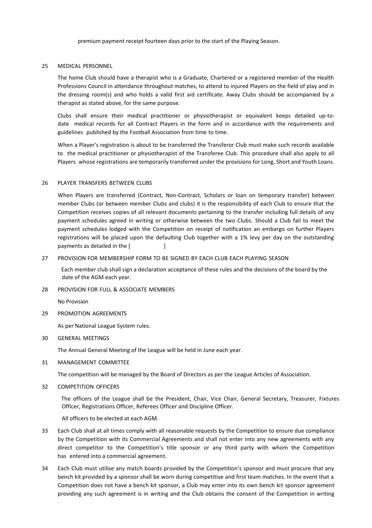premium payment receipt fourteen days prior to the start of the Playing Season.

#### 25 MEDICAL PERSONNEL

The home Club should have a therapist who is a Graduate, Chartered or a registered member of the Health Professions Council in attendance throughout matches, to attend to injured Players on the field of play and in the dressing room(s) and who holds a valid first aid certificate. Away Clubs should be accompanied by a therapist as stated above, for the same purpose.

Clubs shall ensure their medical practitioner or physiotherapist or equivalent keeps detailed up-todate medical records for all Contract Players in the form and in accordance with the requirements and guidelines published by the Football Association from time to time.

When a Player's registration is about to be transferred the Transferor Club must make such records available to the medical practitioner or physiotherapist of the Transferee Club. This procedure shall also apply to all Players whose registrations are temporarily transferred under the provisions for Long, Short and Youth Loans.

#### 26 PLAYER TRANSFERS BETWEEN CLUBS

When Players are transferred (Contract, Non-Contract, Scholars or loan on temporary transfer) between member Clubs (or between member Clubs and clubs) it is the responsibility of each Club to ensure that the Competition receives copies of all relevant documents pertaining to the transfer including full details of any payment schedules agreed in writing or otherwise between the two Clubs. Should a Club fail to meet the payment schedules lodged with the Competition on receipt of notification an embargo on further Players registrations will be placed upon the defaulting Club together with a 1% levy per day on the outstanding payments as detailed in the [

#### 27 PROVISION FOR MEMBERSHIP FORM TO BE SIGNED BY EACH CLUB EACH PLAYING SEASON

 Each member club shall sign a declaration acceptance of these rules and the decisions of the board by the date of the AGM each year.

#### 28 PROVISION FOR FULL & ASSOCIATE MEMBERS

No Provision

#### 29 PROMOTION AGREEMENTS

As per National League System rules.

#### 30 GENERAL MEETINGS

The Annual General Meeting of the League will be held in June each year.

#### 31 MANAGEMENT COMMITTEE

The competition will be managed by the Board of Directors as per the League Articles of Association.

#### 32 COMPETITION OFFICERS

 The officers of the League shall be the President, Chair, Vice Chair, General Secretary, Treasurer, Fixtures Officer, Registrations Officer, Referees Officer and Discipline Officer.

All officers to be elected at each AGM.

- 33 Each Club shall at all times comply with all reasonable requests by the Competition to ensure due compliance by the Competition with its Commercial Agreements and shall not enter into any new agreements with any direct competitor to the Competition's title sponsor or any third party with whom the Competition has entered into a commercial agreement.
- 34 Each Club must utilise any match boards provided by the Competition's sponsor and must procure that any bench kit provided by a sponsor shall be worn during competitive and first team matches. In the event that a Competition does not have a bench kit sponsor, a Club may enter into its own bench kit sponsor agreement providing any such agreement is in writing and the Club obtains the consent of the Competition in writing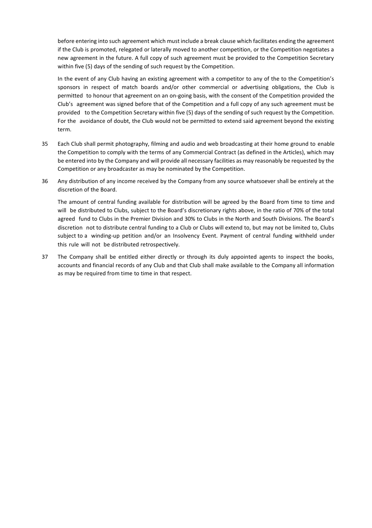before entering into such agreement which must include a break clause which facilitates ending the agreement if the Club is promoted, relegated or laterally moved to another competition, or the Competition negotiates a new agreement in the future. A full copy of such agreement must be provided to the Competition Secretary within five (5) days of the sending of such request by the Competition.

In the event of any Club having an existing agreement with a competitor to any of the to the Competition's sponsors in respect of match boards and/or other commercial or advertising obligations, the Club is permitted to honour that agreement on an on-going basis, with the consent of the Competition provided the Club's agreement was signed before that of the Competition and a full copy of any such agreement must be provided to the Competition Secretary within five (5) days of the sending of such request by the Competition. For the avoidance of doubt, the Club would not be permitted to extend said agreement beyond the existing term.

- 35 Each Club shall permit photography, filming and audio and web broadcasting at their home ground to enable the Competition to comply with the terms of any Commercial Contract (as defined in the Articles), which may be entered into by the Company and will provide all necessary facilities as may reasonably be requested by the Competition or any broadcaster as may be nominated by the Competition.
- 36 Any distribution of any income received by the Company from any source whatsoever shall be entirely at the discretion of the Board.

The amount of central funding available for distribution will be agreed by the Board from time to time and will be distributed to Clubs, subject to the Board's discretionary rights above, in the ratio of 70% of the total agreed fund to Clubs in the Premier Division and 30% to Clubs in the North and South Divisions. The Board's discretion not to distribute central funding to a Club or Clubs will extend to, but may not be limited to, Clubs subject to a winding-up petition and/or an Insolvency Event. Payment of central funding withheld under this rule will not be distributed retrospectively.

37 The Company shall be entitled either directly or through its duly appointed agents to inspect the books, accounts and financial records of any Club and that Club shall make available to the Company all information as may be required from time to time in that respect.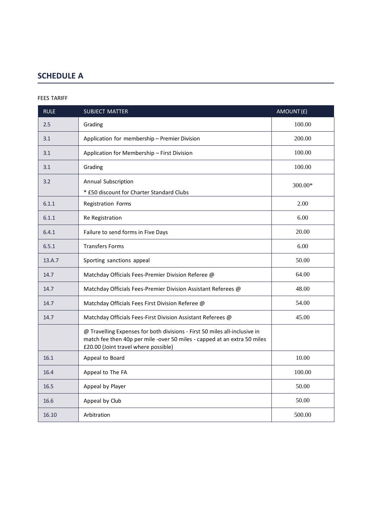## **SCHEDULE A**

#### FEES TARIFF

| <b>RULE</b> | <b>SUBJECT MATTER</b>                                                                                                                                                                          | AMOUNT(£) |
|-------------|------------------------------------------------------------------------------------------------------------------------------------------------------------------------------------------------|-----------|
| 2.5         | Grading                                                                                                                                                                                        | 100.00    |
| 3.1         | Application for membership - Premier Division                                                                                                                                                  | 200.00    |
| 3.1         | Application for Membership - First Division                                                                                                                                                    | 100.00    |
| 3.1         | Grading                                                                                                                                                                                        | 100.00    |
| 3.2         | Annual Subscription<br>* £50 discount for Charter Standard Clubs                                                                                                                               | 300.00*   |
| 6.1.1       | Registration Forms                                                                                                                                                                             | 2.00      |
| 6.1.1       | Re Registration                                                                                                                                                                                | 6.00      |
| 6.4.1       | Failure to send forms in Five Days                                                                                                                                                             | 20.00     |
| 6.5.1       | <b>Transfers Forms</b>                                                                                                                                                                         | 6.00      |
| 13.A.7      | Sporting sanctions appeal                                                                                                                                                                      | 50.00     |
| 14.7        | Matchday Officials Fees-Premier Division Referee @                                                                                                                                             | 64.00     |
| 14.7        | Matchday Officials Fees-Premier Division Assistant Referees @                                                                                                                                  | 48.00     |
| 14.7        | Matchday Officials Fees First Division Referee @                                                                                                                                               | 54.00     |
| 14.7        | Matchday Officials Fees-First Division Assistant Referees @                                                                                                                                    | 45.00     |
|             | @ Travelling Expenses for both divisions - First 50 miles all-inclusive in<br>match fee then 40p per mile -over 50 miles - capped at an extra 50 miles<br>£20.00 (Joint travel where possible) |           |
| 16.1        | Appeal to Board                                                                                                                                                                                | 10.00     |
| 16.4        | Appeal to The FA                                                                                                                                                                               | 100.00    |
| 16.5        | Appeal by Player                                                                                                                                                                               | 50.00     |
| 16.6        | Appeal by Club                                                                                                                                                                                 | 50.00     |
| 16.10       | Arbitration                                                                                                                                                                                    | 500.00    |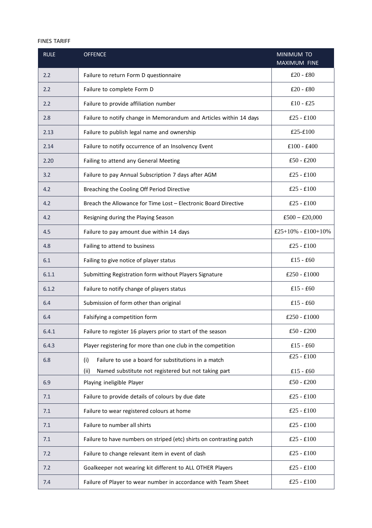#### FINES TARIFF

| <b>RULE</b> | <b>OFFENCE</b>                                                       | MINIMUM TO<br><b>MAXIMUM FINE</b> |
|-------------|----------------------------------------------------------------------|-----------------------------------|
| 2.2         | Failure to return Form D questionnaire                               | $£20 - £80$                       |
| 2.2         | Failure to complete Form D                                           | $£20 - £80$                       |
| 2.2         | Failure to provide affiliation number                                | $£10 - £25$                       |
| 2.8         | Failure to notify change in Memorandum and Articles within 14 days   | $£25 - £100$                      |
| 2.13        | Failure to publish legal name and ownership                          | $£25-E100$                        |
| 2.14        | Failure to notify occurrence of an Insolvency Event                  | $£100 - £400$                     |
| 2.20        | Failing to attend any General Meeting                                | $£50 - £200$                      |
| 3.2         | Failure to pay Annual Subscription 7 days after AGM                  | $£25 - £100$                      |
| 4.2         | Breaching the Cooling Off Period Directive                           | $£25 - £100$                      |
| 4.2         | Breach the Allowance for Time Lost - Electronic Board Directive      | $£25 - £100$                      |
| 4.2         | Resigning during the Playing Season                                  | $£500 - £20,000$                  |
| 4.5         | Failure to pay amount due within 14 days                             | $£25+10% - £100+10%$              |
| 4.8         | Failing to attend to business                                        | $£25 - £100$                      |
| 6.1         | Failing to give notice of player status                              | $£15 - £60$                       |
| 6.1.1       | Submitting Registration form without Players Signature               | $£250 - £1000$                    |
| 6.1.2       | Failure to notify change of players status                           | $£15 - £60$                       |
| 6.4         | Submission of form other than original                               | $£15 - £60$                       |
| 6.4         | Falsifying a competition form                                        | $£250 - £1000$                    |
| 6.4.1       | Failure to register 16 players prior to start of the season          | $£50 - £200$                      |
| 6.4.3       | Player registering for more than one club in the competition         | $£15 - £60$                       |
| 6.8         | Failure to use a board for substitutions in a match<br>(i)           | $£25 - £100$                      |
|             | (ii)<br>Named substitute not registered but not taking part          | $£15 - £60$                       |
| 6.9         | Playing ineligible Player                                            | $£50 - £200$                      |
| 7.1         | Failure to provide details of colours by due date                    | $£25 - £100$                      |
| 7.1         | Failure to wear registered colours at home                           | $£25 - £100$                      |
| 7.1         | Failure to number all shirts                                         | $£25 - £100$                      |
| 7.1         | Failure to have numbers on striped (etc) shirts on contrasting patch | $£25 - £100$                      |
| 7.2         | Failure to change relevant item in event of clash                    | $£25 - £100$                      |
| 7.2         | Goalkeeper not wearing kit different to ALL OTHER Players            | $£25 - £100$                      |
| 7.4         | Failure of Player to wear number in accordance with Team Sheet       | $£25 - £100$                      |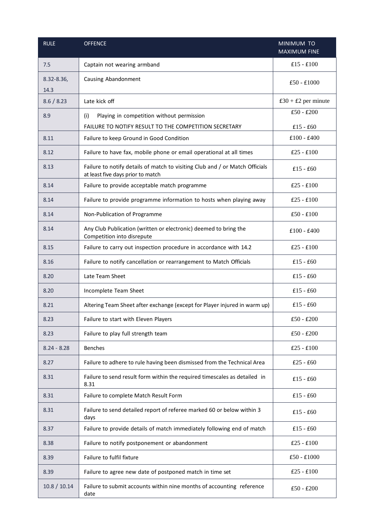| <b>RULE</b>        | <b>OFFENCE</b>                                                                                                    | MINIMUM TO<br><b>MAXIMUM FINE</b> |
|--------------------|-------------------------------------------------------------------------------------------------------------------|-----------------------------------|
| 7.5                | Captain not wearing armband                                                                                       | $£15 - £100$                      |
| 8.32-8.36,<br>14.3 | Causing Abandonment                                                                                               | $£50 - £1000$                     |
| 8.6 / 8.23         | Late kick off                                                                                                     | $£30 + £2$ per minute             |
| 8.9                | Playing in competition without permission<br>(i)                                                                  | $£50 - £200$                      |
|                    | FAILURE TO NOTIFY RESULT TO THE COMPETITION SECRETARY                                                             | $£15 - £60$                       |
| 8.11               | Failure to keep Ground in Good Condition                                                                          | $£100 - £400$                     |
| 8.12               | Failure to have fax, mobile phone or email operational at all times                                               | $£25 - £100$                      |
| 8.13               | Failure to notify details of match to visiting Club and / or Match Officials<br>at least five days prior to match | $£15 - £60$                       |
| 8.14               | Failure to provide acceptable match programme                                                                     | $£25 - £100$                      |
| 8.14               | Failure to provide programme information to hosts when playing away                                               | $£25 - £100$                      |
| 8.14               | Non-Publication of Programme                                                                                      | $£50 - £100$                      |
| 8.14               | Any Club Publication (written or electronic) deemed to bring the<br>Competition into disrepute                    | $£100 - £400$                     |
| 8.15               | Failure to carry out inspection procedure in accordance with 14.2                                                 | $£25 - £100$                      |
| 8.16               | Failure to notify cancellation or rearrangement to Match Officials                                                | $£15 - £60$                       |
| 8.20               | Late Team Sheet                                                                                                   | $£15 - £60$                       |
| 8.20               | Incomplete Team Sheet                                                                                             | $£15 - £60$                       |
| 8.21               | Altering Team Sheet after exchange (except for Player injured in warm up)                                         | $£15 - £60$                       |
| 8.23               | Failure to start with Eleven Players                                                                              | $£50 - £200$                      |
| 8.23               | Failure to play full strength team                                                                                | $£50 - £200$                      |
| $8.24 - 8.28$      | <b>Benches</b>                                                                                                    | $£25 - £100$                      |
| 8.27               | Failure to adhere to rule having been dismissed from the Technical Area                                           | $£25 - £60$                       |
| 8.31               | Failure to send result form within the required timescales as detailed in<br>8.31                                 | $£15 - £60$                       |
| 8.31               | Failure to complete Match Result Form                                                                             | $£15 - £60$                       |
| 8.31               | Failure to send detailed report of referee marked 60 or below within 3<br>days                                    | $£15 - £60$                       |
| 8.37               | Failure to provide details of match immediately following end of match                                            | $£15 - £60$                       |
| 8.38               | Failure to notify postponement or abandonment                                                                     | $£25 - £100$                      |
| 8.39               | Failure to fulfil fixture                                                                                         | $£50 - £1000$                     |
| 8.39               | Failure to agree new date of postponed match in time set                                                          | $£25 - £100$                      |
| 10.8 / 10.14       | Failure to submit accounts within nine months of accounting reference<br>date                                     | $£50 - £200$                      |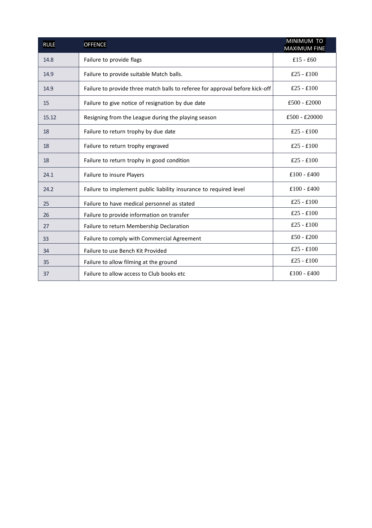| <b>RULE</b> | <b>OFFENCE</b>                                                               | MINIMUM TO<br><b>MAXIMUM FINE</b> |
|-------------|------------------------------------------------------------------------------|-----------------------------------|
| 14.8        | Failure to provide flags                                                     | $£15 - £60$                       |
| 14.9        | Failure to provide suitable Match balls.                                     | $£25 - £100$                      |
| 14.9        | Failure to provide three match balls to referee for approval before kick-off | $£25 - £100$                      |
| 15          | Failure to give notice of resignation by due date                            | $£500 - £2000$                    |
| 15.12       | Resigning from the League during the playing season                          | $£500 - £20000$                   |
| 18          | Failure to return trophy by due date                                         | $£25 - £100$                      |
| 18          | Failure to return trophy engraved                                            | $£25 - £100$                      |
| 18          | Failure to return trophy in good condition                                   | $£25 - £100$                      |
| 24.1        | Failure to insure Players                                                    | $£100 - £400$                     |
| 24.2        | Failure to implement public liability insurance to required level            | $£100 - £400$                     |
| 25          | Failure to have medical personnel as stated                                  | $£25 - £100$                      |
| 26          | Failure to provide information on transfer                                   | $£25 - £100$                      |
| 27          | Failure to return Membership Declaration                                     | $£25 - £100$                      |
| 33          | Failure to comply with Commercial Agreement                                  | $£50 - £200$                      |
| 34          | Failure to use Bench Kit Provided                                            | $£25 - £100$                      |
| 35          | Failure to allow filming at the ground                                       | $£25 - £100$                      |
| 37          | Failure to allow access to Club books etc.                                   | $£100 - £400$                     |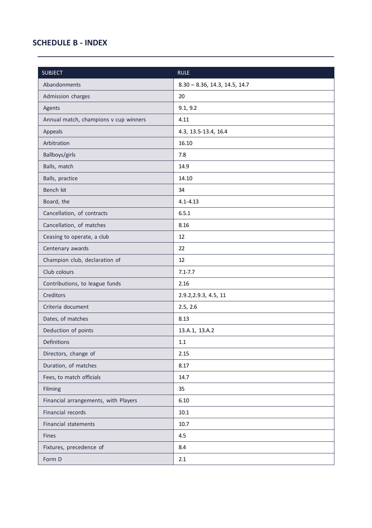### **SCHEDULE B - INDEX**

Í.

| <b>SUBJECT</b>                        | <b>RULE</b>                   |
|---------------------------------------|-------------------------------|
| Abandonments                          | 8.30 - 8.36, 14.3, 14.5, 14.7 |
| Admission charges                     | 20                            |
| Agents                                | 9.1, 9.2                      |
| Annual match, champions v cup winners | 4.11                          |
| Appeals                               | 4.3, 13.5-13.4, 16.4          |
| Arbitration                           | 16.10                         |
| Ballboys/girls                        | 7.8                           |
| Balls, match                          | 14.9                          |
| Balls, practice                       | 14.10                         |
| Bench kit                             | 34                            |
| Board, the                            | $4.1 - 4.13$                  |
| Cancellation, of contracts            | 6.5.1                         |
| Cancellation, of matches              | 8.16                          |
| Ceasing to operate, a club            | 12                            |
| Centenary awards                      | 22                            |
| Champion club, declaration of         | 12                            |
| Club colours                          | $7.1 - 7.7$                   |
| Contributions, to league funds        | 2.16                          |
| <b>Creditors</b>                      | 2.9.2, 2.9.3, 4.5, 11         |
| Criteria document                     | 2.5, 2.6                      |
| Dates, of matches                     | 8.13                          |
| Deduction of points                   | 13.A.1, 13.A.2                |
| <b>Definitions</b>                    | 1.1                           |
| Directors, change of                  | 2.15                          |
| Duration, of matches                  | 8.17                          |
| Fees, to match officials              | 14.7                          |
| Filming                               | 35                            |
| Financial arrangements, with Players  | 6.10                          |
| Financial records                     | 10.1                          |
| <b>Financial statements</b>           | 10.7                          |
| <b>Fines</b>                          | 4.5                           |
| Fixtures, precedence of               | 8.4                           |
| Form D                                | 2.1                           |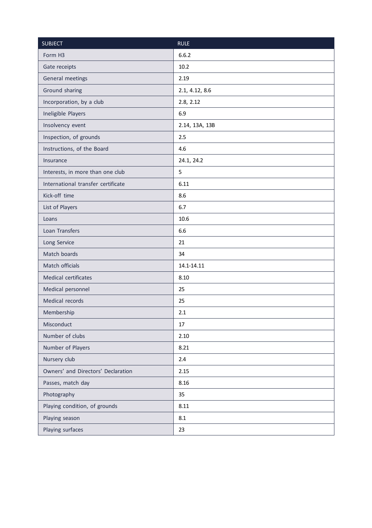| <b>SUBJECT</b>                     | <b>RULE</b>    |
|------------------------------------|----------------|
| Form H <sub>3</sub>                | 6.6.2          |
| Gate receipts                      | 10.2           |
| General meetings                   | 2.19           |
| Ground sharing                     | 2.1, 4.12, 8.6 |
| Incorporation, by a club           | 2.8, 2.12      |
| Ineligible Players                 | 6.9            |
| Insolvency event                   | 2.14, 13A, 13B |
| Inspection, of grounds             | 2.5            |
| Instructions, of the Board         | 4.6            |
| Insurance                          | 24.1, 24.2     |
| Interests, in more than one club   | 5              |
| International transfer certificate | 6.11           |
| Kick-off time                      | 8.6            |
| List of Players                    | 6.7            |
| Loans                              | 10.6           |
| Loan Transfers                     | 6.6            |
| Long Service                       | 21             |
| Match boards                       | 34             |
| Match officials                    | 14.1-14.11     |
| Medical certificates               | 8.10           |
| Medical personnel                  | 25             |
| Medical records                    | 25             |
| Membership                         | 2.1            |
| Misconduct                         | 17             |
| Number of clubs                    | 2.10           |
| Number of Players                  | 8.21           |
| Nursery club                       | 2.4            |
| Owners' and Directors' Declaration | 2.15           |
| Passes, match day                  | 8.16           |
| Photography                        | 35             |
| Playing condition, of grounds      | 8.11           |
| Playing season                     | 8.1            |
| Playing surfaces                   | 23             |